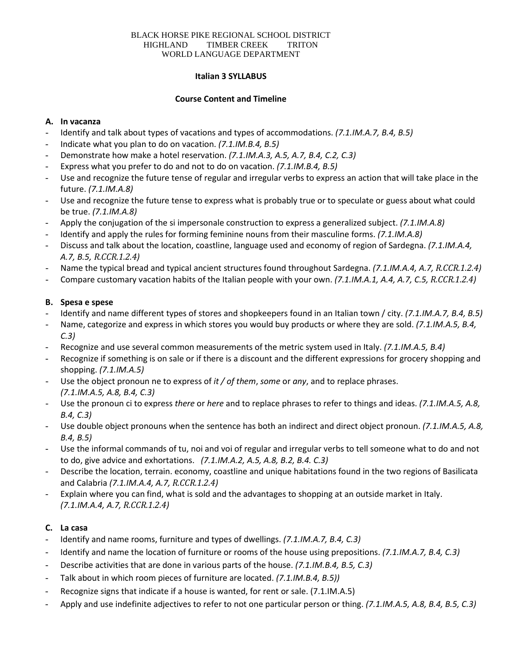#### BLACK HORSE PIKE REGIONAL SCHOOL DISTRICT HIGHLAND TIMBER CREEK TRITON WORLD LANGUAGE DEPARTMENT

### **Italian 3 SYLLABUS**

### **Course Content and Timeline**

### **A. In vacanza**

- Identify and talk about types of vacations and types of accommodations. *(7.1.IM.A.7, B.4, B.5)*
- Indicate what you plan to do on vacation. *(7.1.IM.B.4, B.5)*
- Demonstrate how make a hotel reservation. *(7.1.IM.A.3, A.5, A.7, B.4, C.2, C.3)*
- Express what you prefer to do and not to do on vacation. *(7.1.IM.B.4, B.5)*
- Use and recognize the future tense of regular and irregular verbs to express an action that will take place in the future. *(7.1.IM.A.8)*
- Use and recognize the future tense to express what is probably true or to speculate or guess about what could be true. *(7.1.IM.A.8)*
- Apply the conjugation of the si impersonale construction to express a generalized subject. *(7.1.IM.A.8)*
- Identify and apply the rules for forming feminine nouns from their masculine forms. *(7.1.IM.A.8)*
- Discuss and talk about the location, coastline, language used and economy of region of Sardegna. *(7.1.IM.A.4, A.7, B.5, R.CCR.1.2.4)*
- Name the typical bread and typical ancient structures found throughout Sardegna. *(7.1.IM.A.4, A.7, R.CCR.1.2.4)*
- Compare customary vacation habits of the Italian people with your own. *(7.1.IM.A.1, A.4, A.7, C.5, R.CCR.1.2.4)*

### **B. Spesa e spese**

- Identify and name different types of stores and shopkeepers found in an Italian town / city. *(7.1.IM.A.7, B.4, B.5)*
- Name, categorize and express in which stores you would buy products or where they are sold. *(7.1.IM.A.5, B.4, C.3)*
- Recognize and use several common measurements of the metric system used in Italy. *(7.1.IM.A.5, B.4)*
- Recognize if something is on sale or if there is a discount and the different expressions for grocery shopping and shopping. *(7.1.IM.A.5)*
- Use the object pronoun ne to express of *it / of them*, *some* or *any*, and to replace phrases. *(7.1.IM.A.5, A.8, B.4, C.3)*
- Use the pronoun ci to express *there* or *here* and to replace phrases to refer to things and ideas. *(7.1.IM.A.5, A.8, B.4, C.3)*
- Use double object pronouns when the sentence has both an indirect and direct object pronoun. *(7.1.IM.A.5, A.8, B.4, B.5)*
- Use the informal commands of tu, noi and voi of regular and irregular verbs to tell someone what to do and not to do, give advice and exhortations. *(7.1.IM.A.2, A.5, A.8, B.2, B.4. C.3)*
- Describe the location, terrain. economy, coastline and unique habitations found in the two regions of Basilicata and Calabria *(7.1.IM.A.4, A.7, R.CCR.1.2.4)*
- Explain where you can find, what is sold and the advantages to shopping at an outside market in Italy. *(7.1.IM.A.4, A.7, R.CCR.1.2.4)*

### **C. La casa**

- Identify and name rooms, furniture and types of dwellings. *(7.1.IM.A.7, B.4, C.3)*
- Identify and name the location of furniture or rooms of the house using prepositions. *(7.1.IM.A.7, B.4, C.3)*
- Describe activities that are done in various parts of the house. *(7.1.IM.B.4, B.5, C.3)*
- Talk about in which room pieces of furniture are located. *(7.1.IM.B.4, B.5)*)
- Recognize signs that indicate if a house is wanted, for rent or sale. (7.1.IM.A.5)
- Apply and use indefinite adjectives to refer to not one particular person or thing. *(7.1.IM.A.5, A.8, B.4, B.5, C.3)*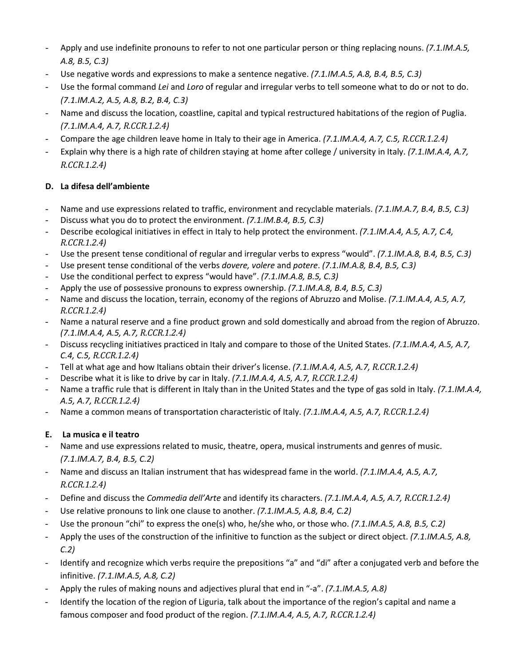- Apply and use indefinite pronouns to refer to not one particular person or thing replacing nouns. *(7.1.IM.A.5, A.8, B.5, C.3)*
- Use negative words and expressions to make a sentence negative. *(7.1.IM.A.5, A.8, B.4, B.5, C.3)*
- Use the formal command *Lei* and *Loro* of regular and irregular verbs to tell someone what to do or not to do. *(7.1.IM.A.2, A.5, A.8, B.2, B.4, C.3)*
- Name and discuss the location, coastline, capital and typical restructured habitations of the region of Puglia. *(7.1.IM.A.4, A.7, R.CCR.1.2.4)*
- Compare the age children leave home in Italy to their age in America. *(7.1.IM.A.4, A.7, C.5, R.CCR.1.2.4)*
- Explain why there is a high rate of children staying at home after college / university in Italy. *(7.1.IM.A.4, A.7, R.CCR.1.2.4)*

## **D. La difesa dell'ambiente**

- Name and use expressions related to traffic, environment and recyclable materials. *(7.1.IM.A.7, B.4, B.5, C.3)*
- Discuss what you do to protect the environment. *(7.1.IM.B.4, B.5, C.3)*
- Describe ecological initiatives in effect in Italy to help protect the environment. *(7.1.IM.A.4, A.5, A.7, C.4, R.CCR.1.2.4)*
- Use the present tense conditional of regular and irregular verbs to express "would". *(7.1.IM.A.8, B.4, B.5, C.3)*
- Use present tense conditional of the verbs *dovere, volere* and *potere*. *(7.1.IM.A.8, B.4, B.5, C.3)*
- Use the conditional perfect to express "would have". *(7.1.IM.A.8, B.5, C.3)*
- Apply the use of possessive pronouns to express ownership. *(7.1.IM.A.8, B.4, B.5, C.3)*
- Name and discuss the location, terrain, economy of the regions of Abruzzo and Molise. *(7.1.IM.A.4, A.5, A.7, R.CCR.1.2.4)*
- Name a natural reserve and a fine product grown and sold domestically and abroad from the region of Abruzzo. *(7.1.IM.A.4, A.5, A.7, R.CCR.1.2.4)*
- Discuss recycling initiatives practiced in Italy and compare to those of the United States. *(7.1.IM.A.4, A.5, A.7, C.4, C.5, R.CCR.1.2.4)*
- Tell at what age and how Italians obtain their driver's license. *(7.1.IM.A.4, A.5, A.7, R.CCR.1.2.4)*
- Describe what it is like to drive by car in Italy. *(7.1.IM.A.4, A.5, A.7, R.CCR.1.2.4)*
- Name a traffic rule that is different in Italy than in the United States and the type of gas sold in Italy. *(7.1.IM.A.4, A.5, A.7, R.CCR.1.2.4)*
- Name a common means of transportation characteristic of Italy. *(7.1.IM.A.4, A.5, A.7, R.CCR.1.2.4)*

## **E. La musica e il teatro**

- Name and use expressions related to music, theatre, opera, musical instruments and genres of music. *(7.1.IM.A.7, B.4, B.5, C.2)*
- Name and discuss an Italian instrument that has widespread fame in the world. *(7.1.IM.A.4, A.5, A.7, R.CCR.1.2.4)*
- Define and discuss the *Commedia dell'Arte* and identify its characters. *(7.1.IM.A.4, A.5, A.7, R.CCR.1.2.4)*
- Use relative pronouns to link one clause to another. *(7.1.IM.A.5, A.8, B.4, C.2)*
- Use the pronoun "chi" to express the one(s) who, he/she who, or those who. *(7.1.IM.A.5, A.8, B.5, C.2)*
- Apply the uses of the construction of the infinitive to function as the subject or direct object. *(7.1.IM.A.5, A.8, C.2)*
- Identify and recognize which verbs require the prepositions "a" and "di" after a conjugated verb and before the infinitive. *(7.1.IM.A.5, A.8, C.2)*
- Apply the rules of making nouns and adjectives plural that end in "-a". *(7.1.IM.A.5, A.8)*
- Identify the location of the region of Liguria, talk about the importance of the region's capital and name a famous composer and food product of the region. *(7.1.IM.A.4, A.5, A.7, R.CCR.1.2.4)*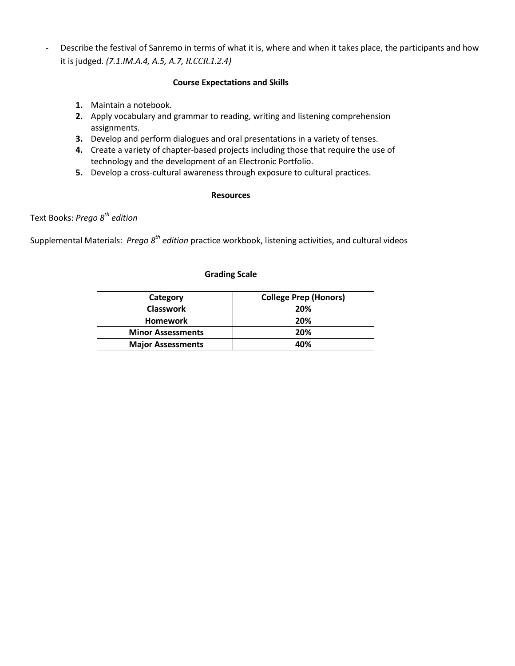- Describe the festival of Sanremo in terms of what it is, where and when it takes place, the participants and how it is judged. *(7.1.IM.A.4, A.5, A.7, R.CCR.1.2.4)*

### **Course Expectations and Skills**

- **1.** Maintain a notebook.
- **2.** Apply vocabulary and grammar to reading, writing and listening comprehension assignments.
- **3.** Develop and perform dialogues and oral presentations in a variety of tenses.
- **4.** Create a variety of chapter-based projects including those that require the use of technology and the development of an Electronic Portfolio.
- **5.** Develop a cross-cultural awareness through exposure to cultural practices.

#### **Resources**

Text Books: *Prego 8th edition*

Supplemental Materials: *Prego 8th edition* practice workbook, listening activities, and cultural videos

### **Grading Scale**

| <b>College Prep (Honors)</b><br>Category |     |
|------------------------------------------|-----|
| <b>Classwork</b>                         | 20% |
| <b>Homework</b>                          | 20% |
| <b>Minor Assessments</b>                 | 20% |
| <b>Major Assessments</b>                 | 40% |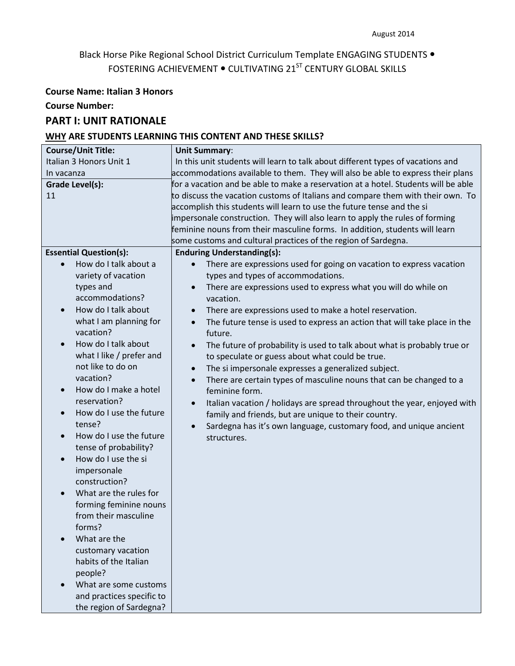## Black Horse Pike Regional School District Curriculum Template ENGAGING STUDENTS . FOSTERING ACHIEVEMENT . CULTIVATING 21<sup>ST</sup> CENTURY GLOBAL SKILLS

### **Course Name: Italian 3 Honors**

**Course Number:**

## **PART I: UNIT RATIONALE**

### **WHY ARE STUDENTS LEARNING THIS CONTENT AND THESE SKILLS?**

| <b>Course/Unit Title:</b>            | <b>Unit Summary:</b>                                                                   |
|--------------------------------------|----------------------------------------------------------------------------------------|
| Italian 3 Honors Unit 1              | In this unit students will learn to talk about different types of vacations and        |
| In vacanza                           | accommodations available to them. They will also be able to express their plans        |
| Grade Level(s):                      | for a vacation and be able to make a reservation at a hotel. Students will be able     |
| 11                                   | to discuss the vacation customs of Italians and compare them with their own. To        |
|                                      | accomplish this students will learn to use the future tense and the si                 |
|                                      | impersonale construction. They will also learn to apply the rules of forming           |
|                                      | feminine nouns from their masculine forms. In addition, students will learn            |
|                                      | some customs and cultural practices of the region of Sardegna.                         |
| <b>Essential Question(s):</b>        | <b>Enduring Understanding(s):</b>                                                      |
| How do I talk about a<br>$\bullet$   | There are expressions used for going on vacation to express vacation<br>$\bullet$      |
| variety of vacation                  | types and types of accommodations.                                                     |
| types and                            | There are expressions used to express what you will do while on<br>$\bullet$           |
| accommodations?                      | vacation.                                                                              |
| How do I talk about<br>$\bullet$     | There are expressions used to make a hotel reservation.<br>$\bullet$                   |
| what I am planning for               | The future tense is used to express an action that will take place in the<br>$\bullet$ |
| vacation?                            | future.                                                                                |
| How do I talk about<br>$\bullet$     | The future of probability is used to talk about what is probably true or<br>$\bullet$  |
| what I like / prefer and             | to speculate or guess about what could be true.                                        |
| not like to do on                    | The si impersonale expresses a generalized subject.<br>$\bullet$                       |
| vacation?                            | There are certain types of masculine nouns that can be changed to a<br>$\bullet$       |
| How do I make a hotel<br>$\bullet$   | feminine form.                                                                         |
| reservation?                         | Italian vacation / holidays are spread throughout the year, enjoyed with<br>$\bullet$  |
| How do I use the future<br>$\bullet$ | family and friends, but are unique to their country.                                   |
| tense?                               | Sardegna has it's own language, customary food, and unique ancient                     |
| How do I use the future<br>$\bullet$ | structures.                                                                            |
| tense of probability?                |                                                                                        |
| How do I use the si<br>$\bullet$     |                                                                                        |
| impersonale                          |                                                                                        |
| construction?                        |                                                                                        |
| What are the rules for<br>$\bullet$  |                                                                                        |
| forming feminine nouns               |                                                                                        |
| from their masculine                 |                                                                                        |
| forms?                               |                                                                                        |
| What are the                         |                                                                                        |
| customary vacation                   |                                                                                        |
| habits of the Italian                |                                                                                        |
| people?                              |                                                                                        |
| What are some customs<br>$\bullet$   |                                                                                        |
| and practices specific to            |                                                                                        |
| the region of Sardegna?              |                                                                                        |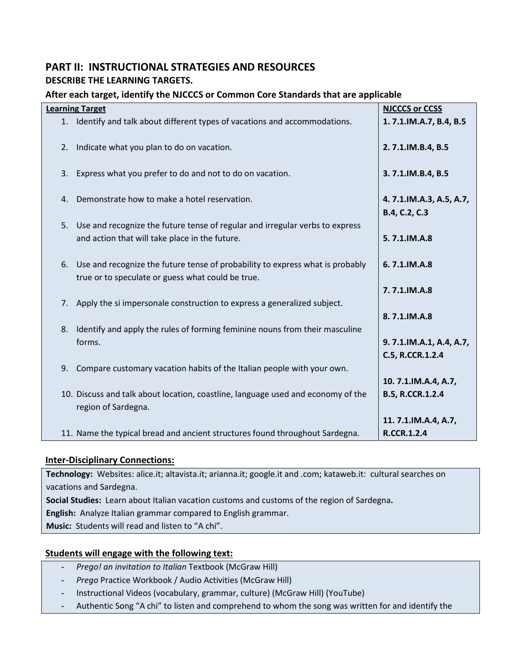## **PART II: INSTRUCTIONAL STRATEGIES AND RESOURCES DESCRIBE THE LEARNING TARGETS.**

## **After each target, identify the NJCCCS or Common Core Standards that are applicable**

|    | <b>Learning Target</b>                                                                                  | <b>NJCCCS or CCSS</b>                    |
|----|---------------------------------------------------------------------------------------------------------|------------------------------------------|
|    | 1. Identify and talk about different types of vacations and accommodations.                             | 1.7.1.IM.A.7, B.4, B.5                   |
| 2. | Indicate what you plan to do on vacation.                                                               | 2.7.1.IM.B.4, B.5                        |
| 3. | Express what you prefer to do and not to do on vacation.                                                | 3.7.1.IM.B.4, B.5                        |
|    | 4. Demonstrate how to make a hotel reservation.                                                         | 4.7.1.IM.A.3, A.5, A.7,<br>B.4, C.2, C.3 |
| 5. | Use and recognize the future tense of regular and irregular verbs to express                            |                                          |
|    | and action that will take place in the future.                                                          | 5.7.1.IM.A.8                             |
| 6. | Use and recognize the future tense of probability to express what is probably                           | 6.7.1.IM.A.8                             |
|    | true or to speculate or guess what could be true.                                                       |                                          |
|    |                                                                                                         | 7.7.1.IM.A.8                             |
|    | 7. Apply the si impersonale construction to express a generalized subject.                              |                                          |
|    |                                                                                                         | 8.7.1.IM.A.8                             |
| 8. | Identify and apply the rules of forming feminine nouns from their masculine                             |                                          |
|    | forms.                                                                                                  | 9.7.1.IM.A.1, A.4, A.7,                  |
|    |                                                                                                         | C.5, R.CCR.1.2.4                         |
| 9. | Compare customary vacation habits of the Italian people with your own.                                  |                                          |
|    |                                                                                                         | 10.7.1.IM.A.4, A.7,                      |
|    | 10. Discuss and talk about location, coastline, language used and economy of the<br>region of Sardegna. | B.5, R.CCR.1.2.4                         |
|    |                                                                                                         | 11. 7.1.IM.A.4, A.7,                     |
|    | 11. Name the typical bread and ancient structures found throughout Sardegna.                            | <b>R.CCR.1.2.4</b>                       |

## **Inter-Disciplinary Connections:**

**Technology:** Websites: alice.it; altavista.it; arianna.it; google.it and .com; kataweb.it: cultural searches on vacations and Sardegna.

**Social Studies:** Learn about Italian vacation customs and customs of the region of Sardegna**.**

**English:** Analyze Italian grammar compared to English grammar.

**Music:** Students will read and listen to "A chi".

## **Students will engage with the following text:**

- *Prego! an invitation to Italian* Textbook (McGraw Hill)
- *Prego* Practice Workbook / Audio Activities (McGraw Hill)
- Instructional Videos (vocabulary, grammar, culture) (McGraw Hill) (YouTube)
- Authentic Song "A chi" to listen and comprehend to whom the song was written for and identify the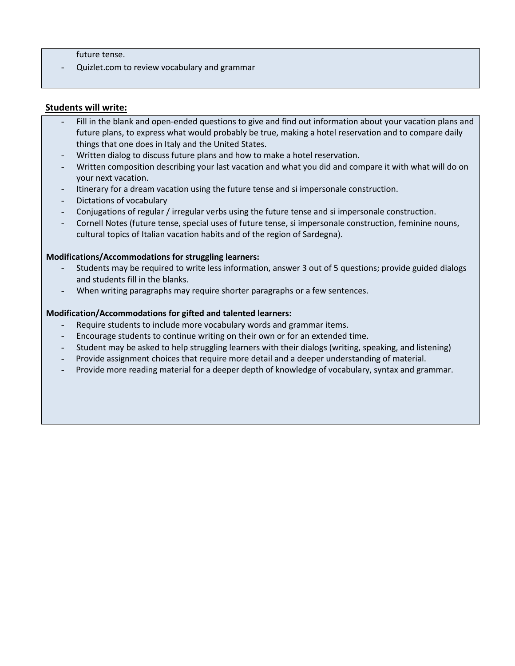future tense.

- Quizlet.com to review vocabulary and grammar

### **Students will write:**

- Fill in the blank and open-ended questions to give and find out information about your vacation plans and future plans, to express what would probably be true, making a hotel reservation and to compare daily things that one does in Italy and the United States.
- Written dialog to discuss future plans and how to make a hotel reservation.
- Written composition describing your last vacation and what you did and compare it with what will do on your next vacation.
- Itinerary for a dream vacation using the future tense and si impersonale construction.
- Dictations of vocabulary
- Conjugations of regular / irregular verbs using the future tense and si impersonale construction.
- Cornell Notes (future tense, special uses of future tense, si impersonale construction, feminine nouns, cultural topics of Italian vacation habits and of the region of Sardegna).

### **Modifications/Accommodations for struggling learners:**

- Students may be required to write less information, answer 3 out of 5 questions; provide guided dialogs and students fill in the blanks.
- When writing paragraphs may require shorter paragraphs or a few sentences.

#### **Modification/Accommodations for gifted and talented learners:**

- Require students to include more vocabulary words and grammar items.
- Encourage students to continue writing on their own or for an extended time.
- Student may be asked to help struggling learners with their dialogs (writing, speaking, and listening)
- Provide assignment choices that require more detail and a deeper understanding of material.
- Provide more reading material for a deeper depth of knowledge of vocabulary, syntax and grammar.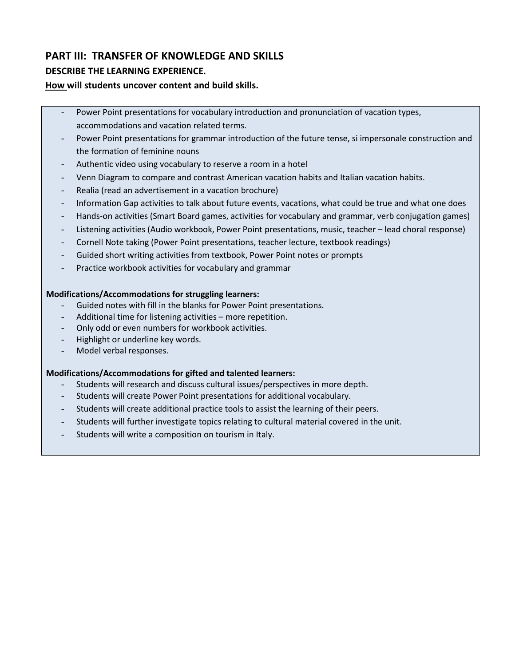## **PART III: TRANSFER OF KNOWLEDGE AND SKILLS**

### **DESCRIBE THE LEARNING EXPERIENCE.**

### **How will students uncover content and build skills.**

- Power Point presentations for vocabulary introduction and pronunciation of vacation types, accommodations and vacation related terms.
- Power Point presentations for grammar introduction of the future tense, si impersonale construction and the formation of feminine nouns
- Authentic video using vocabulary to reserve a room in a hotel
- Venn Diagram to compare and contrast American vacation habits and Italian vacation habits.
- Realia (read an advertisement in a vacation brochure)
- Information Gap activities to talk about future events, vacations, what could be true and what one does
- Hands-on activities (Smart Board games, activities for vocabulary and grammar, verb conjugation games)
- Listening activities (Audio workbook, Power Point presentations, music, teacher lead choral response)
- Cornell Note taking (Power Point presentations, teacher lecture, textbook readings)
- Guided short writing activities from textbook, Power Point notes or prompts
- Practice workbook activities for vocabulary and grammar

### **Modifications/Accommodations for struggling learners:**

- Guided notes with fill in the blanks for Power Point presentations.
- Additional time for listening activities more repetition.
- Only odd or even numbers for workbook activities.
- Highlight or underline key words.
- Model verbal responses.

### **Modifications/Accommodations for gifted and talented learners:**

- Students will research and discuss cultural issues/perspectives in more depth.
- Students will create Power Point presentations for additional vocabulary.
- Students will create additional practice tools to assist the learning of their peers.
- Students will further investigate topics relating to cultural material covered in the unit.
- Students will write a composition on tourism in Italy.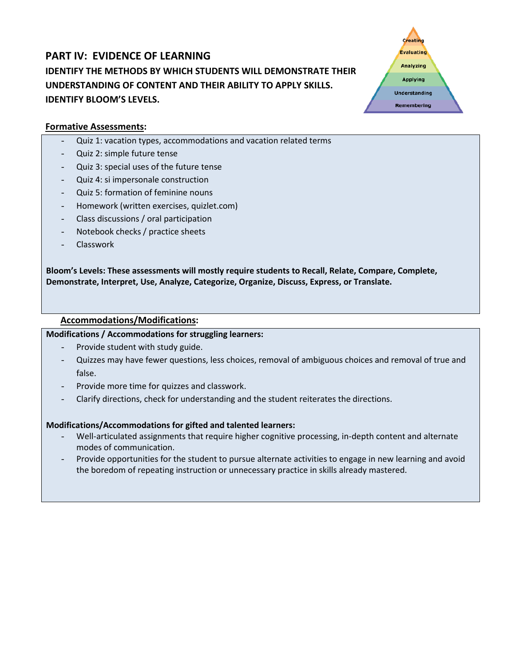## **PART IV: EVIDENCE OF LEARNING IDENTIFY THE METHODS BY WHICH STUDENTS WILL DEMONSTRATE THEIR UNDERSTANDING OF CONTENT AND THEIR ABILITY TO APPLY SKILLS. IDENTIFY BLOOM'S LEVELS.**



### **Formative Assessments:**

- Quiz 1: vacation types, accommodations and vacation related terms
- Quiz 2: simple future tense
- Quiz 3: special uses of the future tense
- Quiz 4: si impersonale construction
- Quiz 5: formation of feminine nouns
- Homework (written exercises, quizlet.com)
- Class discussions / oral participation
- Notebook checks / practice sheets
- **Classwork**

**Bloom's Levels: These assessments will mostly require students to Recall, Relate, Compare, Complete, Demonstrate, Interpret, Use, Analyze, Categorize, Organize, Discuss, Express, or Translate.**

### **Accommodations/Modifications:**

### **Modifications / Accommodations for struggling learners:**

- Provide student with study guide.
- Quizzes may have fewer questions, less choices, removal of ambiguous choices and removal of true and false.
- Provide more time for quizzes and classwork.
- Clarify directions, check for understanding and the student reiterates the directions.

### **Modifications/Accommodations for gifted and talented learners:**

- Well‐articulated assignments that require higher cognitive processing, in‐depth content and alternate modes of communication.
- Provide opportunities for the student to pursue alternate activities to engage in new learning and avoid the boredom of repeating instruction or unnecessary practice in skills already mastered.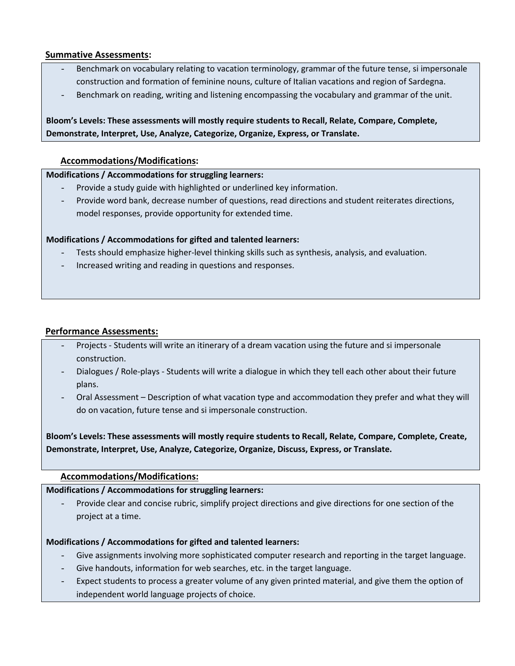### **Summative Assessments:**

- Benchmark on vocabulary relating to vacation terminology, grammar of the future tense, si impersonale construction and formation of feminine nouns, culture of Italian vacations and region of Sardegna.
- Benchmark on reading, writing and listening encompassing the vocabulary and grammar of the unit.

## **Bloom's Levels: These assessments will mostly require students to Recall, Relate, Compare, Complete, Demonstrate, Interpret, Use, Analyze, Categorize, Organize, Express, or Translate.**

### **Accommodations/Modifications:**

### **Modifications / Accommodations for struggling learners:**

- Provide a study guide with highlighted or underlined key information.
- Provide word bank, decrease number of questions, read directions and student reiterates directions, model responses, provide opportunity for extended time.

### **Modifications / Accommodations for gifted and talented learners:**

- Tests should emphasize higher-level thinking skills such as synthesis, analysis, and evaluation.
- Increased writing and reading in questions and responses.

### **Performance Assessments:**

- Projects Students will write an itinerary of a dream vacation using the future and si impersonale construction.
- Dialogues / Role-plays Students will write a dialogue in which they tell each other about their future plans.
- Oral Assessment Description of what vacation type and accommodation they prefer and what they will do on vacation, future tense and si impersonale construction.

**Bloom's Levels: These assessments will mostly require students to Recall, Relate, Compare, Complete, Create, Demonstrate, Interpret, Use, Analyze, Categorize, Organize, Discuss, Express, or Translate.**

### **Accommodations/Modifications:**

### **Modifications / Accommodations for struggling learners:**

Provide clear and concise rubric, simplify project directions and give directions for one section of the project at a time.

### **Modifications / Accommodations for gifted and talented learners:**

- Give assignments involving more sophisticated computer research and reporting in the target language.
- Give handouts, information for web searches, etc. in the target language.
- Expect students to process a greater volume of any given printed material, and give them the option of independent world language projects of choice.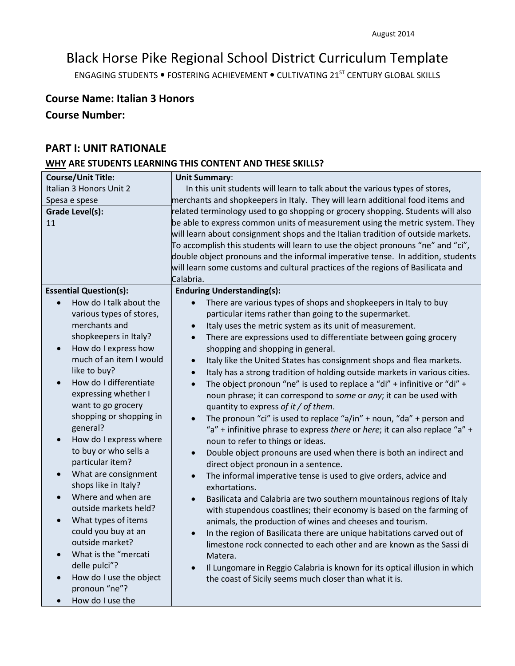# Black Horse Pike Regional School District Curriculum Template

ENGAGING STUDENTS . FOSTERING ACHIEVEMENT . CULTIVATING 21<sup>ST</sup> CENTURY GLOBAL SKILLS

## **Course Name: Italian 3 Honors**

## **Course Number:**

## **PART I: UNIT RATIONALE**

### **WHY ARE STUDENTS LEARNING THIS CONTENT AND THESE SKILLS?**

| <b>Course/Unit Title:</b>                   | <b>Unit Summary:</b>                                                                  |  |  |
|---------------------------------------------|---------------------------------------------------------------------------------------|--|--|
| Italian 3 Honors Unit 2                     | In this unit students will learn to talk about the various types of stores,           |  |  |
| Spesa e spese                               | merchants and shopkeepers in Italy. They will learn additional food items and         |  |  |
| <b>Grade Level(s):</b>                      | related terminology used to go shopping or grocery shopping. Students will also       |  |  |
| 11                                          | be able to express common units of measurement using the metric system. They          |  |  |
|                                             | will learn about consignment shops and the Italian tradition of outside markets.      |  |  |
|                                             | To accomplish this students will learn to use the object pronouns "ne" and "ci",      |  |  |
|                                             | double object pronouns and the informal imperative tense. In addition, students       |  |  |
|                                             | will learn some customs and cultural practices of the regions of Basilicata and       |  |  |
|                                             | Calabria.                                                                             |  |  |
| <b>Essential Question(s):</b>               | <b>Enduring Understanding(s):</b>                                                     |  |  |
| How do I talk about the                     | There are various types of shops and shopkeepers in Italy to buy                      |  |  |
| various types of stores,                    | particular items rather than going to the supermarket.                                |  |  |
| merchants and                               | Italy uses the metric system as its unit of measurement.                              |  |  |
| shopkeepers in Italy?                       | There are expressions used to differentiate between going grocery<br>$\bullet$        |  |  |
| How do I express how<br>$\bullet$           | shopping and shopping in general.                                                     |  |  |
| much of an item I would                     | Italy like the United States has consignment shops and flea markets.                  |  |  |
| like to buy?                                | Italy has a strong tradition of holding outside markets in various cities.            |  |  |
| How do I differentiate                      | The object pronoun "ne" is used to replace a "di" + infinitive or "di" +<br>$\bullet$ |  |  |
| expressing whether I                        | noun phrase; it can correspond to some or any; it can be used with                    |  |  |
| want to go grocery                          | quantity to express of it / of them.                                                  |  |  |
| shopping or shopping in                     | The pronoun "ci" is used to replace "a/in" + noun, "da" + person and                  |  |  |
| general?                                    | "a" + infinitive phrase to express there or here; it can also replace "a" +           |  |  |
| How do I express where                      | noun to refer to things or ideas.                                                     |  |  |
| to buy or who sells a                       | Double object pronouns are used when there is both an indirect and<br>$\bullet$       |  |  |
| particular item?                            | direct object pronoun in a sentence.                                                  |  |  |
| What are consignment                        | The informal imperative tense is used to give orders, advice and<br>$\bullet$         |  |  |
| shops like in Italy?                        | exhortations.                                                                         |  |  |
| Where and when are<br>outside markets held? | Basilicata and Calabria are two southern mountainous regions of Italy<br>$\bullet$    |  |  |
|                                             | with stupendous coastlines; their economy is based on the farming of                  |  |  |
| What types of items<br>could you buy at an  | animals, the production of wines and cheeses and tourism.                             |  |  |
| outside market?                             | In the region of Basilicata there are unique habitations carved out of                |  |  |
| What is the "mercati                        | limestone rock connected to each other and are known as the Sassi di                  |  |  |
| delle pulci"?                               | Matera.                                                                               |  |  |
| How do I use the object                     | Il Lungomare in Reggio Calabria is known for its optical illusion in which            |  |  |
| pronoun "ne"?                               | the coast of Sicily seems much closer than what it is.                                |  |  |
| How do I use the                            |                                                                                       |  |  |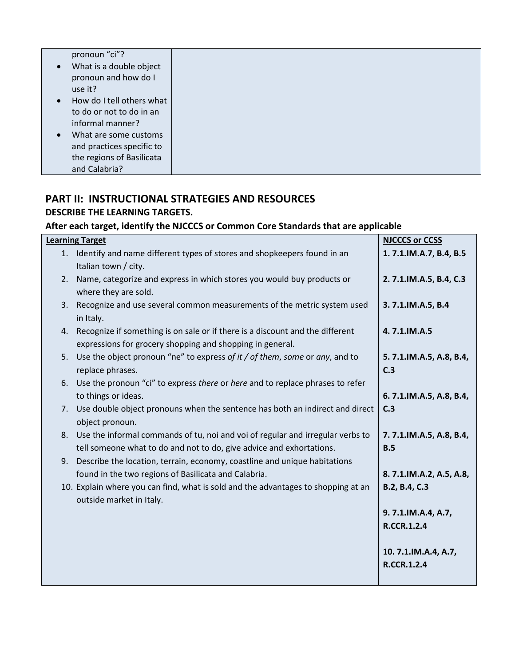| pronoun "ci"?             |
|---------------------------|
| What is a double object   |
| pronoun and how do I      |
| use it?                   |
| How do I tell others what |
| to do or not to do in an  |
| informal manner?          |
| What are some customs     |
| and practices specific to |
| the regions of Basilicata |
| and Calabria?             |

## **PART II: INSTRUCTIONAL STRATEGIES AND RESOURCES DESCRIBE THE LEARNING TARGETS.**

## **After each target, identify the NJCCCS or Common Core Standards that are applicable**

|    | <b>Learning Target</b>                                                                                                                        | <b>NJCCCS or CCSS</b>          |
|----|-----------------------------------------------------------------------------------------------------------------------------------------------|--------------------------------|
|    | 1. Identify and name different types of stores and shopkeepers found in an<br>Italian town / city.                                            | 1.7.1.IM.A.7, B.4, B.5         |
| 2. | Name, categorize and express in which stores you would buy products or<br>where they are sold.                                                | 2.7.1.IM.A.5, B.4, C.3         |
| 3. | Recognize and use several common measurements of the metric system used<br>in Italy.                                                          | 3.7.1.IM.A.5, B.4              |
|    | 4. Recognize if something is on sale or if there is a discount and the different<br>expressions for grocery shopping and shopping in general. | 4.7.1.IM.A.5                   |
| 5. | Use the object pronoun "ne" to express of it / of them, some or any, and to<br>replace phrases.                                               | 5.7.1.IM.A.5, A.8, B.4,<br>C.3 |
|    | 6. Use the pronoun "ci" to express there or here and to replace phrases to refer                                                              |                                |
|    | to things or ideas.                                                                                                                           | 6.7.1.IM.A.5, A.8, B.4,        |
|    | 7. Use double object pronouns when the sentence has both an indirect and direct<br>object pronoun.                                            | C.3                            |
| 8. | Use the informal commands of tu, noi and voi of regular and irregular verbs to                                                                | 7.7.1.IM.A.5, A.8, B.4,        |
|    | tell someone what to do and not to do, give advice and exhortations.                                                                          | B.5                            |
| 9. | Describe the location, terrain, economy, coastline and unique habitations                                                                     |                                |
|    | found in the two regions of Basilicata and Calabria.                                                                                          | 8.7.1.IM.A.2, A.5, A.8,        |
|    | 10. Explain where you can find, what is sold and the advantages to shopping at an<br>outside market in Italy.                                 | B.2, B.4, C.3                  |
|    |                                                                                                                                               | 9.7.1.IM.A.4, A.7,             |
|    |                                                                                                                                               | <b>R.CCR.1.2.4</b>             |
|    |                                                                                                                                               | 10.7.1.IM.A.4, A.7,            |
|    |                                                                                                                                               | <b>R.CCR.1.2.4</b>             |
|    |                                                                                                                                               |                                |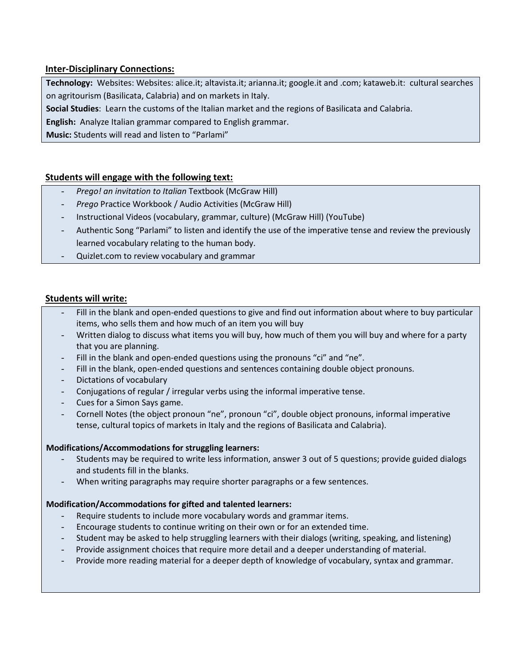### **Inter-Disciplinary Connections:**

**Technology:** Websites: Websites: alice.it; altavista.it; arianna.it; google.it and .com; kataweb.it: cultural searches on agritourism (Basilicata, Calabria) and on markets in Italy.

**Social Studies**: Learn the customs of the Italian market and the regions of Basilicata and Calabria.

**English:** Analyze Italian grammar compared to English grammar.

**Music:** Students will read and listen to "Parlami"

### **Students will engage with the following text:**

- *Prego! an invitation to Italian* Textbook (McGraw Hill)
- *Prego* Practice Workbook / Audio Activities (McGraw Hill)
- Instructional Videos (vocabulary, grammar, culture) (McGraw Hill) (YouTube)
- Authentic Song "Parlami" to listen and identify the use of the imperative tense and review the previously learned vocabulary relating to the human body.
- Quizlet.com to review vocabulary and grammar

### **Students will write:**

- Fill in the blank and open-ended questions to give and find out information about where to buy particular items, who sells them and how much of an item you will buy
- Written dialog to discuss what items you will buy, how much of them you will buy and where for a party that you are planning.
- Fill in the blank and open-ended questions using the pronouns "ci" and "ne".
- Fill in the blank, open-ended questions and sentences containing double object pronouns.
- Dictations of vocabulary
- Conjugations of regular / irregular verbs using the informal imperative tense.
- Cues for a Simon Says game.
- Cornell Notes (the object pronoun "ne", pronoun "ci", double object pronouns, informal imperative tense, cultural topics of markets in Italy and the regions of Basilicata and Calabria).

### **Modifications/Accommodations for struggling learners:**

- Students may be required to write less information, answer 3 out of 5 questions; provide guided dialogs and students fill in the blanks.
- When writing paragraphs may require shorter paragraphs or a few sentences.

### **Modification/Accommodations for gifted and talented learners:**

- Require students to include more vocabulary words and grammar items.
- Encourage students to continue writing on their own or for an extended time.
- Student may be asked to help struggling learners with their dialogs (writing, speaking, and listening)
- Provide assignment choices that require more detail and a deeper understanding of material.
- Provide more reading material for a deeper depth of knowledge of vocabulary, syntax and grammar.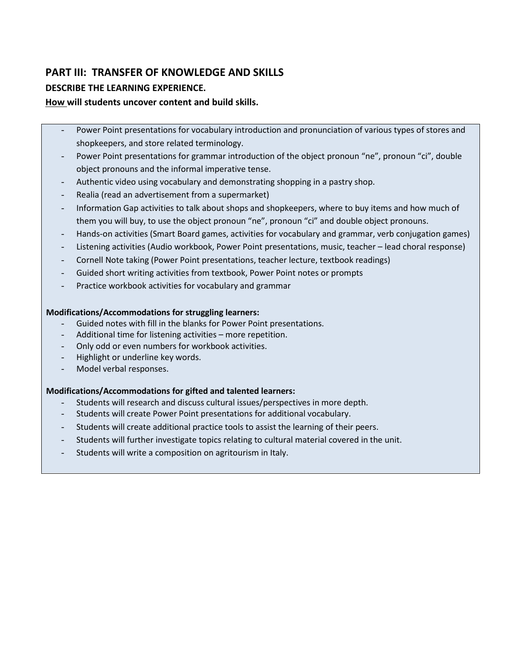## **PART III: TRANSFER OF KNOWLEDGE AND SKILLS**

## **DESCRIBE THE LEARNING EXPERIENCE.**

### **How will students uncover content and build skills.**

- Power Point presentations for vocabulary introduction and pronunciation of various types of stores and shopkeepers, and store related terminology.
- Power Point presentations for grammar introduction of the object pronoun "ne", pronoun "ci", double object pronouns and the informal imperative tense.
- Authentic video using vocabulary and demonstrating shopping in a pastry shop.
- Realia (read an advertisement from a supermarket)
- Information Gap activities to talk about shops and shopkeepers, where to buy items and how much of them you will buy, to use the object pronoun "ne", pronoun "ci" and double object pronouns.
- Hands-on activities (Smart Board games, activities for vocabulary and grammar, verb conjugation games)
- Listening activities (Audio workbook, Power Point presentations, music, teacher lead choral response)
- Cornell Note taking (Power Point presentations, teacher lecture, textbook readings)
- Guided short writing activities from textbook, Power Point notes or prompts
- Practice workbook activities for vocabulary and grammar

### **Modifications/Accommodations for struggling learners:**

- Guided notes with fill in the blanks for Power Point presentations.
- Additional time for listening activities more repetition.
- Only odd or even numbers for workbook activities.
- Highlight or underline key words.
- Model verbal responses.

### **Modifications/Accommodations for gifted and talented learners:**

- Students will research and discuss cultural issues/perspectives in more depth.
- Students will create Power Point presentations for additional vocabulary.
- Students will create additional practice tools to assist the learning of their peers.
- Students will further investigate topics relating to cultural material covered in the unit.
- Students will write a composition on agritourism in Italy.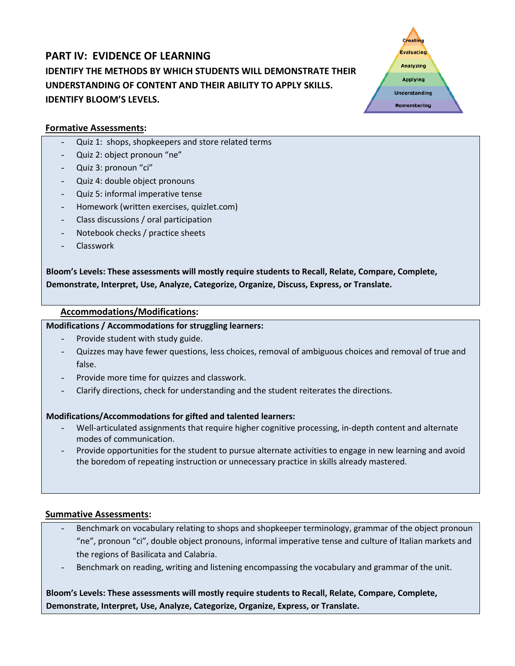## **PART IV: EVIDENCE OF LEARNING IDENTIFY THE METHODS BY WHICH STUDENTS WILL DEMONSTRATE THEIR UNDERSTANDING OF CONTENT AND THEIR ABILITY TO APPLY SKILLS. IDENTIFY BLOOM'S LEVELS.**



### **Formative Assessments:**

- Quiz 1: shops, shopkeepers and store related terms
- Quiz 2: object pronoun "ne"
- Quiz 3: pronoun "ci"
- Quiz 4: double object pronouns
- Quiz 5: informal imperative tense
- Homework (written exercises, quizlet.com)
- Class discussions / oral participation
- Notebook checks / practice sheets
- Classwork

**Bloom's Levels: These assessments will mostly require students to Recall, Relate, Compare, Complete, Demonstrate, Interpret, Use, Analyze, Categorize, Organize, Discuss, Express, or Translate.**

### **Accommodations/Modifications:**

### **Modifications / Accommodations for struggling learners:**

- Provide student with study guide.
- Quizzes may have fewer questions, less choices, removal of ambiguous choices and removal of true and false.
- Provide more time for quizzes and classwork.
- Clarify directions, check for understanding and the student reiterates the directions.

### **Modifications/Accommodations for gifted and talented learners:**

- Well-articulated assignments that require higher cognitive processing, in-depth content and alternate modes of communication.
- Provide opportunities for the student to pursue alternate activities to engage in new learning and avoid the boredom of repeating instruction or unnecessary practice in skills already mastered.

### **Summative Assessments:**

- Benchmark on vocabulary relating to shops and shopkeeper terminology, grammar of the object pronoun "ne", pronoun "ci", double object pronouns, informal imperative tense and culture of Italian markets and the regions of Basilicata and Calabria.
- Benchmark on reading, writing and listening encompassing the vocabulary and grammar of the unit.

## **Bloom's Levels: These assessments will mostly require students to Recall, Relate, Compare, Complete, Demonstrate, Interpret, Use, Analyze, Categorize, Organize, Express, or Translate.**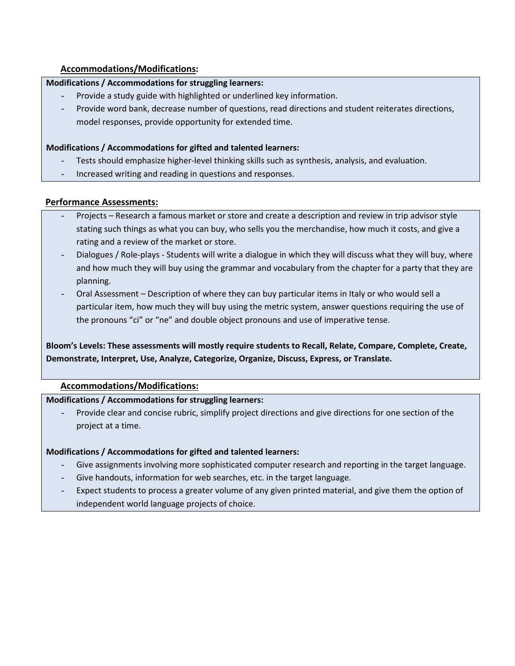### **Accommodations/Modifications:**

### **Modifications / Accommodations for struggling learners:**

- Provide a study guide with highlighted or underlined key information.
- Provide word bank, decrease number of questions, read directions and student reiterates directions, model responses, provide opportunity for extended time.

### **Modifications / Accommodations for gifted and talented learners:**

- Tests should emphasize higher-level thinking skills such as synthesis, analysis, and evaluation.
- Increased writing and reading in questions and responses.

### **Performance Assessments:**

- Projects Research a famous market or store and create a description and review in trip advisor style stating such things as what you can buy, who sells you the merchandise, how much it costs, and give a rating and a review of the market or store.
- Dialogues / Role-plays Students will write a dialogue in which they will discuss what they will buy, where and how much they will buy using the grammar and vocabulary from the chapter for a party that they are planning.
- Oral Assessment Description of where they can buy particular items in Italy or who would sell a particular item, how much they will buy using the metric system, answer questions requiring the use of the pronouns "ci" or "ne" and double object pronouns and use of imperative tense.

## **Bloom's Levels: These assessments will mostly require students to Recall, Relate, Compare, Complete, Create, Demonstrate, Interpret, Use, Analyze, Categorize, Organize, Discuss, Express, or Translate.**

### **Accommodations/Modifications:**

### **Modifications / Accommodations for struggling learners:**

Provide clear and concise rubric, simplify project directions and give directions for one section of the project at a time.

### **Modifications / Accommodations for gifted and talented learners:**

- Give assignments involving more sophisticated computer research and reporting in the target language.
- Give handouts, information for web searches, etc. in the target language.
- Expect students to process a greater volume of any given printed material, and give them the option of independent world language projects of choice.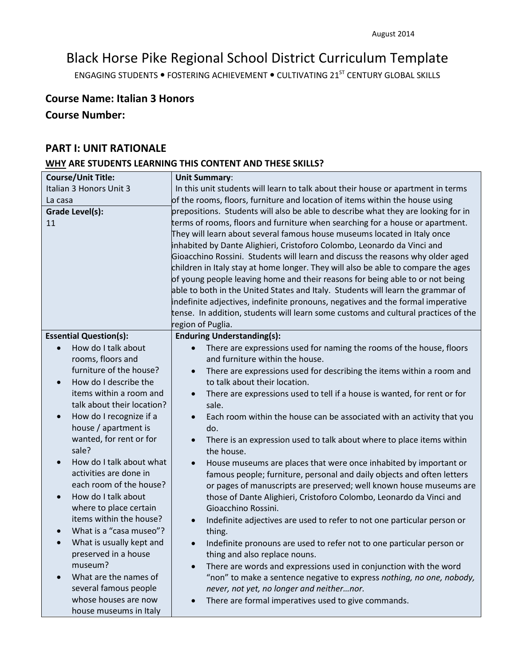# Black Horse Pike Regional School District Curriculum Template

ENGAGING STUDENTS . FOSTERING ACHIEVEMENT . CULTIVATING 21<sup>ST</sup> CENTURY GLOBAL SKILLS

## **Course Name: Italian 3 Honors**

## **Course Number:**

### **PART I: UNIT RATIONALE**

## **WHY ARE STUDENTS LEARNING THIS CONTENT AND THESE SKILLS?**

| <b>Course/Unit Title:</b>            | <b>Unit Summary:</b>                                                                  |
|--------------------------------------|---------------------------------------------------------------------------------------|
| Italian 3 Honors Unit 3              | In this unit students will learn to talk about their house or apartment in terms      |
| La casa                              | of the rooms, floors, furniture and location of items within the house using          |
| <b>Grade Level(s):</b>               | prepositions. Students will also be able to describe what they are looking for in     |
| 11                                   | terms of rooms, floors and furniture when searching for a house or apartment.         |
|                                      | They will learn about several famous house museums located in Italy once              |
|                                      | inhabited by Dante Alighieri, Cristoforo Colombo, Leonardo da Vinci and               |
|                                      | Gioacchino Rossini. Students will learn and discuss the reasons why older aged        |
|                                      | children in Italy stay at home longer. They will also be able to compare the ages     |
|                                      | of young people leaving home and their reasons for being able to or not being         |
|                                      | able to both in the United States and Italy. Students will learn the grammar of       |
|                                      | indefinite adjectives, indefinite pronouns, negatives and the formal imperative       |
|                                      | tense. In addition, students will learn some customs and cultural practices of the    |
|                                      | region of Puglia.                                                                     |
| <b>Essential Question(s):</b>        | <b>Enduring Understanding(s):</b>                                                     |
| How do I talk about                  | There are expressions used for naming the rooms of the house, floors                  |
| rooms, floors and                    | and furniture within the house.                                                       |
| furniture of the house?              | There are expressions used for describing the items within a room and<br>$\bullet$    |
| How do I describe the<br>$\bullet$   | to talk about their location.                                                         |
| items within a room and              | There are expressions used to tell if a house is wanted, for rent or for<br>$\bullet$ |
| talk about their location?           | sale.                                                                                 |
| How do I recognize if a<br>$\bullet$ | Each room within the house can be associated with an activity that you                |
| house / apartment is                 | do.                                                                                   |
| wanted, for rent or for              | There is an expression used to talk about where to place items within<br>$\bullet$    |
| sale?                                | the house.                                                                            |
| How do I talk about what             | House museums are places that were once inhabited by important or<br>$\bullet$        |
| activities are done in               | famous people; furniture, personal and daily objects and often letters                |
| each room of the house?              | or pages of manuscripts are preserved; well known house museums are                   |
| How do I talk about<br>$\bullet$     | those of Dante Alighieri, Cristoforo Colombo, Leonardo da Vinci and                   |
| where to place certain               | Gioacchino Rossini.                                                                   |
| items within the house?              | Indefinite adjectives are used to refer to not one particular person or<br>$\bullet$  |
| What is a "casa museo"?              | thing.                                                                                |
| What is usually kept and             | Indefinite pronouns are used to refer not to one particular person or                 |
| preserved in a house                 | thing and also replace nouns.                                                         |
| museum?                              | There are words and expressions used in conjunction with the word                     |
| What are the names of                | "non" to make a sentence negative to express nothing, no one, nobody,                 |
| several famous people                | never, not yet, no longer and neithernor.                                             |
| whose houses are now                 | There are formal imperatives used to give commands.                                   |
| house museums in Italy               |                                                                                       |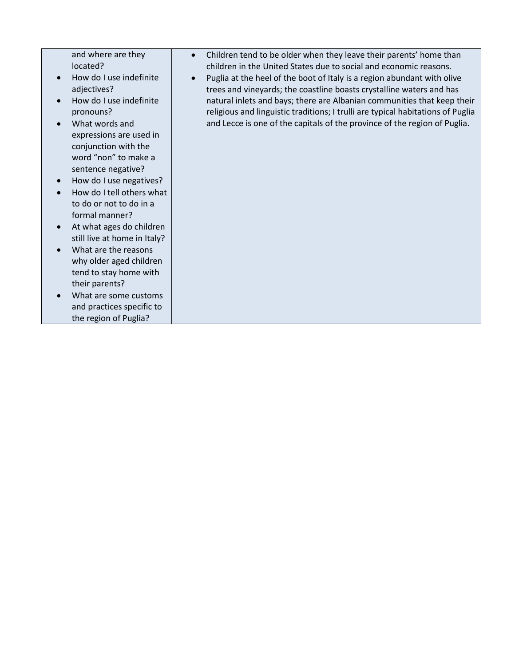and where are they located?

- How do I use indefinite adjectives?
- How do I use indefinite pronouns?
- What words and expressions are used in conjunction with the word "non" to make a sentence negative?
- How do I use negatives?
- How do I tell others what to do or not to do in a formal manner?
- At what ages do children still live at home in Italy?
- What are the reasons why older aged children tend to stay home with their parents?
- What are some customs and practices specific to the region of Puglia?
- Children tend to be older when they leave their parents' home than children in the United States due to social and economic reasons.
- Puglia at the heel of the boot of Italy is a region abundant with olive trees and vineyards; the coastline boasts crystalline waters and has natural inlets and bays; there are Albanian communities that keep their religious and linguistic traditions; I trulli are typical habitations of Puglia and Lecce is one of the capitals of the province of the region of Puglia.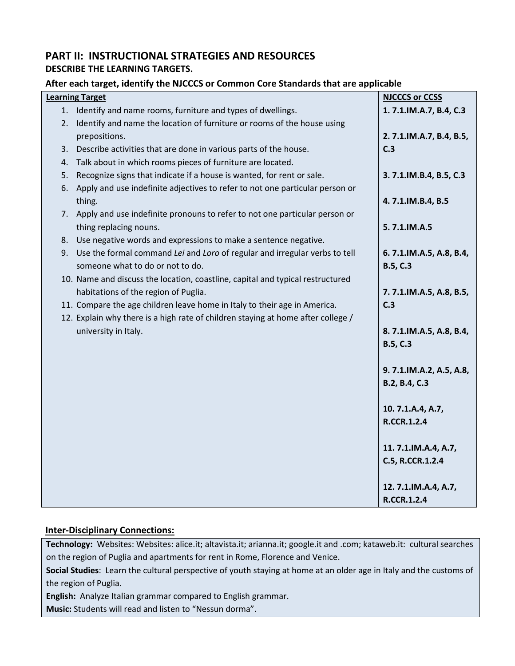## **PART II: INSTRUCTIONAL STRATEGIES AND RESOURCES DESCRIBE THE LEARNING TARGETS.**

### **After each target, identify the NJCCCS or Common Core Standards that are applicable**

|    | <b>Learning Target</b>                                                                                         | <b>NJCCCS or CCSS</b>                      |
|----|----------------------------------------------------------------------------------------------------------------|--------------------------------------------|
|    | 1. Identify and name rooms, furniture and types of dwellings.                                                  | 1.7.1.IM.A.7, B.4, C.3                     |
| 2. | Identify and name the location of furniture or rooms of the house using                                        |                                            |
|    | prepositions.                                                                                                  | 2.7.1.IM.A.7, B.4, B.5,                    |
| 3. | Describe activities that are done in various parts of the house.                                               | C.3                                        |
| 4. | Talk about in which rooms pieces of furniture are located.                                                     |                                            |
| 5. | Recognize signs that indicate if a house is wanted, for rent or sale.                                          | 3.7.1.IM.B.4, B.5, C.3                     |
| 6. | Apply and use indefinite adjectives to refer to not one particular person or<br>thing.                         | 4.7.1.IM.B.4, B.5                          |
|    | 7. Apply and use indefinite pronouns to refer to not one particular person or                                  |                                            |
|    | thing replacing nouns.                                                                                         | 5.7.1.IM.A.5                               |
|    | 8. Use negative words and expressions to make a sentence negative.                                             |                                            |
| 9. | Use the formal command Lei and Loro of regular and irregular verbs to tell<br>someone what to do or not to do. | 6.7.1.IM.A.5, A.8, B.4,<br><b>B.5, C.3</b> |
|    | 10. Name and discuss the location, coastline, capital and typical restructured                                 |                                            |
|    | habitations of the region of Puglia.                                                                           | 7.7.1.IM.A.5, A.8, B.5,                    |
|    | 11. Compare the age children leave home in Italy to their age in America.                                      | C.3                                        |
|    | 12. Explain why there is a high rate of children staying at home after college /                               |                                            |
|    | university in Italy.                                                                                           | 8.7.1.IM.A.5, A.8, B.4,                    |
|    |                                                                                                                | <b>B.5, C.3</b>                            |
|    |                                                                                                                |                                            |
|    |                                                                                                                | 9.7.1.IM.A.2, A.5, A.8,                    |
|    |                                                                                                                | B.2, B.4, C.3                              |
|    |                                                                                                                |                                            |
|    |                                                                                                                | 10.7.1.A.4, A.7,                           |
|    |                                                                                                                | <b>R.CCR.1.2.4</b>                         |
|    |                                                                                                                |                                            |
|    |                                                                                                                | 11.7.1.IM.A.4, A.7,                        |
|    |                                                                                                                | C.5, R.CCR.1.2.4                           |
|    |                                                                                                                |                                            |
|    |                                                                                                                | 12.7.1.IM.A.4, A.7,                        |
|    |                                                                                                                | <b>R.CCR.1.2.4</b>                         |

## **Inter-Disciplinary Connections:**

**Technology:** Websites: Websites: alice.it; altavista.it; arianna.it; google.it and .com; kataweb.it: cultural searches on the region of Puglia and apartments for rent in Rome, Florence and Venice.

**Social Studies**: Learn the cultural perspective of youth staying at home at an older age in Italy and the customs of the region of Puglia.

**English:** Analyze Italian grammar compared to English grammar.

**Music:** Students will read and listen to "Nessun dorma".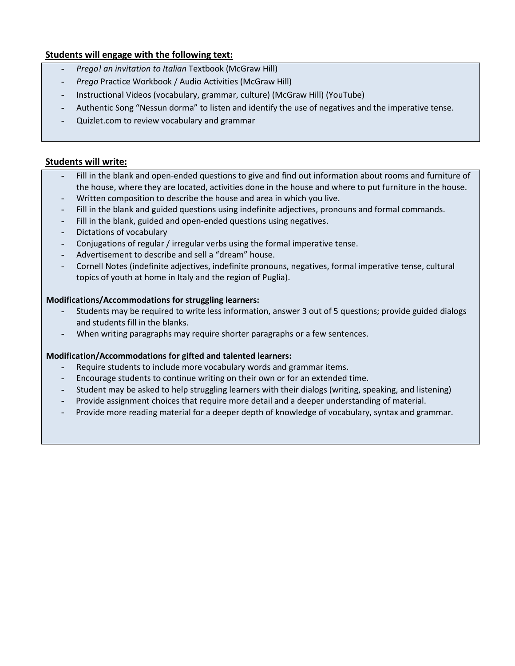### **Students will engage with the following text:**

- *Prego! an invitation to Italian* Textbook (McGraw Hill)
- *Prego* Practice Workbook / Audio Activities (McGraw Hill)
- Instructional Videos (vocabulary, grammar, culture) (McGraw Hill) (YouTube)
- Authentic Song "Nessun dorma" to listen and identify the use of negatives and the imperative tense.
- Quizlet.com to review vocabulary and grammar

### **Students will write:**

- Fill in the blank and open-ended questions to give and find out information about rooms and furniture of the house, where they are located, activities done in the house and where to put furniture in the house.
- Written composition to describe the house and area in which you live.
- Fill in the blank and guided questions using indefinite adjectives, pronouns and formal commands.
- Fill in the blank, guided and open-ended questions using negatives.
- Dictations of vocabulary
- Conjugations of regular / irregular verbs using the formal imperative tense.
- Advertisement to describe and sell a "dream" house.
- Cornell Notes (indefinite adjectives, indefinite pronouns, negatives, formal imperative tense, cultural topics of youth at home in Italy and the region of Puglia).

#### **Modifications/Accommodations for struggling learners:**

- Students may be required to write less information, answer 3 out of 5 questions; provide guided dialogs and students fill in the blanks.
- When writing paragraphs may require shorter paragraphs or a few sentences.

### **Modification/Accommodations for gifted and talented learners:**

- Require students to include more vocabulary words and grammar items.
- Encourage students to continue writing on their own or for an extended time.
- Student may be asked to help struggling learners with their dialogs (writing, speaking, and listening)
- Provide assignment choices that require more detail and a deeper understanding of material.
- Provide more reading material for a deeper depth of knowledge of vocabulary, syntax and grammar.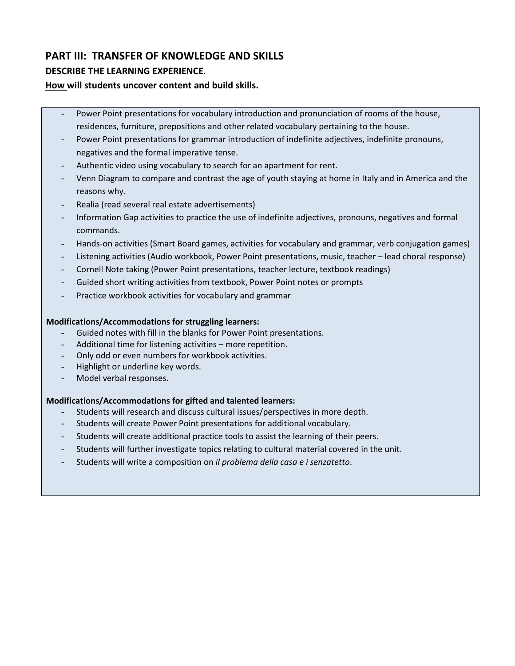## **PART III: TRANSFER OF KNOWLEDGE AND SKILLS**

### **DESCRIBE THE LEARNING EXPERIENCE.**

### **How will students uncover content and build skills.**

- Power Point presentations for vocabulary introduction and pronunciation of rooms of the house, residences, furniture, prepositions and other related vocabulary pertaining to the house.
- Power Point presentations for grammar introduction of indefinite adjectives, indefinite pronouns, negatives and the formal imperative tense.
- Authentic video using vocabulary to search for an apartment for rent.
- Venn Diagram to compare and contrast the age of youth staying at home in Italy and in America and the reasons why.
- Realia (read several real estate advertisements)
- Information Gap activities to practice the use of indefinite adjectives, pronouns, negatives and formal commands.
- Hands-on activities (Smart Board games, activities for vocabulary and grammar, verb conjugation games)
- Listening activities (Audio workbook, Power Point presentations, music, teacher lead choral response)
- Cornell Note taking (Power Point presentations, teacher lecture, textbook readings)
- Guided short writing activities from textbook, Power Point notes or prompts
- Practice workbook activities for vocabulary and grammar

### **Modifications/Accommodations for struggling learners:**

- Guided notes with fill in the blanks for Power Point presentations.
- Additional time for listening activities more repetition.
- Only odd or even numbers for workbook activities.
- Highlight or underline key words.
- Model verbal responses.

### **Modifications/Accommodations for gifted and talented learners:**

- Students will research and discuss cultural issues/perspectives in more depth.
- Students will create Power Point presentations for additional vocabulary.
- Students will create additional practice tools to assist the learning of their peers.
- Students will further investigate topics relating to cultural material covered in the unit.
- Students will write a composition on *il problema della casa e i senzatetto*.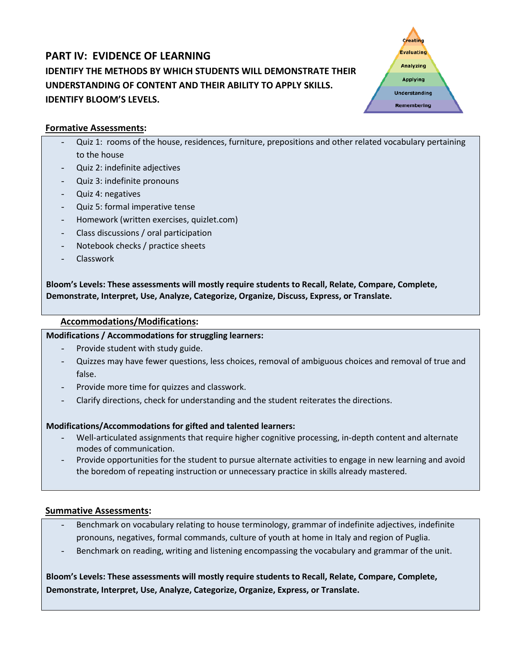## **PART IV: EVIDENCE OF LEARNING IDENTIFY THE METHODS BY WHICH STUDENTS WILL DEMONSTRATE THEIR UNDERSTANDING OF CONTENT AND THEIR ABILITY TO APPLY SKILLS. IDENTIFY BLOOM'S LEVELS.**



### **Formative Assessments:**

- Quiz 1: rooms of the house, residences, furniture, prepositions and other related vocabulary pertaining to the house
- Quiz 2: indefinite adjectives
- Quiz 3: indefinite pronouns
- Quiz 4: negatives
- Quiz 5: formal imperative tense
- Homework (written exercises, quizlet.com)
- Class discussions / oral participation
- Notebook checks / practice sheets
- **Classwork**

**Bloom's Levels: These assessments will mostly require students to Recall, Relate, Compare, Complete, Demonstrate, Interpret, Use, Analyze, Categorize, Organize, Discuss, Express, or Translate.**

### **Accommodations/Modifications:**

### **Modifications / Accommodations for struggling learners:**

- Provide student with study guide.
- Quizzes may have fewer questions, less choices, removal of ambiguous choices and removal of true and false.
- Provide more time for quizzes and classwork.
- Clarify directions, check for understanding and the student reiterates the directions.

### **Modifications/Accommodations for gifted and talented learners:**

- Well-articulated assignments that require higher cognitive processing, in-depth content and alternate modes of communication.
- Provide opportunities for the student to pursue alternate activities to engage in new learning and avoid the boredom of repeating instruction or unnecessary practice in skills already mastered.

### **Summative Assessments:**

- Benchmark on vocabulary relating to house terminology, grammar of indefinite adjectives, indefinite pronouns, negatives, formal commands, culture of youth at home in Italy and region of Puglia.
- Benchmark on reading, writing and listening encompassing the vocabulary and grammar of the unit.

**Bloom's Levels: These assessments will mostly require students to Recall, Relate, Compare, Complete, Demonstrate, Interpret, Use, Analyze, Categorize, Organize, Express, or Translate.**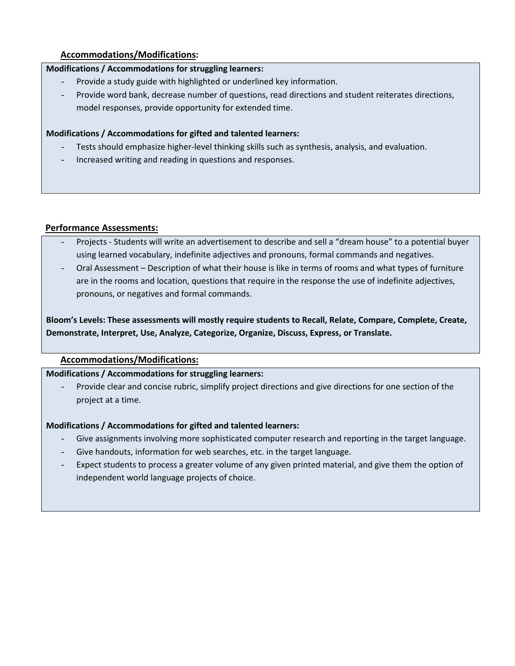### **Accommodations/Modifications:**

### **Modifications / Accommodations for struggling learners:**

- Provide a study guide with highlighted or underlined key information.
- Provide word bank, decrease number of questions, read directions and student reiterates directions, model responses, provide opportunity for extended time.

### **Modifications / Accommodations for gifted and talented learners:**

- Tests should emphasize higher-level thinking skills such as synthesis, analysis, and evaluation.
- Increased writing and reading in questions and responses.

### **Performance Assessments:**

- Projects Students will write an advertisement to describe and sell a "dream house" to a potential buyer using learned vocabulary, indefinite adjectives and pronouns, formal commands and negatives.
- Oral Assessment Description of what their house is like in terms of rooms and what types of furniture are in the rooms and location, questions that require in the response the use of indefinite adjectives, pronouns, or negatives and formal commands.

**Bloom's Levels: These assessments will mostly require students to Recall, Relate, Compare, Complete, Create, Demonstrate, Interpret, Use, Analyze, Categorize, Organize, Discuss, Express, or Translate.**

### **Accommodations/Modifications:**

### **Modifications / Accommodations for struggling learners:**

Provide clear and concise rubric, simplify project directions and give directions for one section of the project at a time.

### **Modifications / Accommodations for gifted and talented learners:**

- Give assignments involving more sophisticated computer research and reporting in the target language.
- Give handouts, information for web searches, etc. in the target language.
- Expect students to process a greater volume of any given printed material, and give them the option of independent world language projects of choice.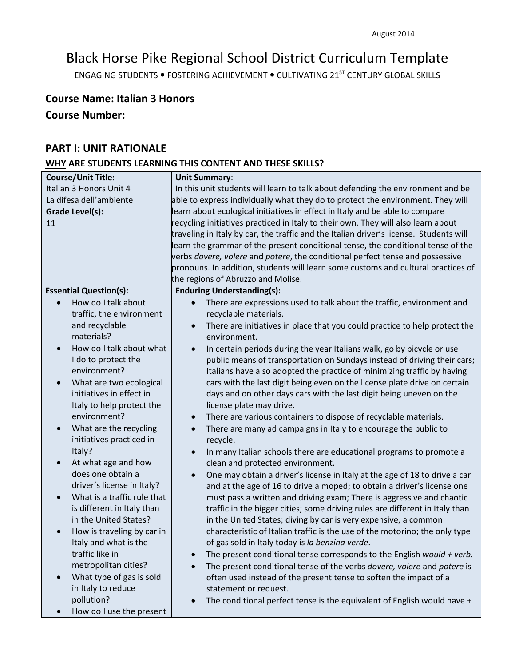# Black Horse Pike Regional School District Curriculum Template

ENGAGING STUDENTS . FOSTERING ACHIEVEMENT . CULTIVATING 21<sup>ST</sup> CENTURY GLOBAL SKILLS

## **Course Name: Italian 3 Honors**

## **Course Number:**

## **PART I: UNIT RATIONALE**

### **WHY ARE STUDENTS LEARNING THIS CONTENT AND THESE SKILLS?**

| <b>Course/Unit Title:</b>             | <b>Unit Summary:</b>                                                                         |
|---------------------------------------|----------------------------------------------------------------------------------------------|
| Italian 3 Honors Unit 4               | In this unit students will learn to talk about defending the environment and be              |
| La difesa dell'ambiente               | able to express individually what they do to protect the environment. They will              |
| <b>Grade Level(s):</b>                | learn about ecological initiatives in effect in Italy and be able to compare                 |
| 11                                    | recycling initiatives practiced in Italy to their own. They will also learn about            |
|                                       | traveling in Italy by car, the traffic and the Italian driver's license. Students will       |
|                                       | learn the grammar of the present conditional tense, the conditional tense of the             |
|                                       | verbs <i>dovere, volere</i> and <i>potere</i> , the conditional perfect tense and possessive |
|                                       | pronouns. In addition, students will learn some customs and cultural practices of            |
|                                       | the regions of Abruzzo and Molise.                                                           |
| <b>Essential Question(s):</b>         | <b>Enduring Understanding(s):</b>                                                            |
| How do I talk about                   | There are expressions used to talk about the traffic, environment and                        |
| traffic, the environment              | recyclable materials.                                                                        |
| and recyclable                        | There are initiatives in place that you could practice to help protect the                   |
| materials?                            | environment.                                                                                 |
| How do I talk about what<br>$\bullet$ |                                                                                              |
|                                       | In certain periods during the year Italians walk, go by bicycle or use<br>$\bullet$          |
| I do to protect the<br>environment?   | public means of transportation on Sundays instead of driving their cars;                     |
|                                       | Italians have also adopted the practice of minimizing traffic by having                      |
| What are two ecological<br>$\bullet$  | cars with the last digit being even on the license plate drive on certain                    |
| initiatives in effect in              | days and on other days cars with the last digit being uneven on the                          |
| Italy to help protect the             | license plate may drive.                                                                     |
| environment?                          | There are various containers to dispose of recyclable materials.<br>$\bullet$                |
| What are the recycling<br>$\bullet$   | There are many ad campaigns in Italy to encourage the public to<br>$\bullet$                 |
| initiatives practiced in              | recycle.                                                                                     |
| Italy?                                | In many Italian schools there are educational programs to promote a                          |
| At what age and how<br>$\bullet$      | clean and protected environment.                                                             |
| does one obtain a                     | One may obtain a driver's license in Italy at the age of 18 to drive a car<br>$\bullet$      |
| driver's license in Italy?            | and at the age of 16 to drive a moped; to obtain a driver's license one                      |
| What is a traffic rule that           | must pass a written and driving exam; There is aggressive and chaotic                        |
| is different in Italy than            | traffic in the bigger cities; some driving rules are different in Italy than                 |
| in the United States?                 | in the United States; diving by car is very expensive, a common                              |
| How is traveling by car in            | characteristic of Italian traffic is the use of the motorino; the only type                  |
| Italy and what is the                 | of gas sold in Italy today is la benzina verde.                                              |
| traffic like in                       | The present conditional tense corresponds to the English would + verb.                       |
| metropolitan cities?                  | The present conditional tense of the verbs dovere, volere and potere is                      |
| What type of gas is sold              | often used instead of the present tense to soften the impact of a                            |
| in Italy to reduce                    | statement or request.                                                                        |
| pollution?                            | The conditional perfect tense is the equivalent of English would have +                      |
| How do I use the present              |                                                                                              |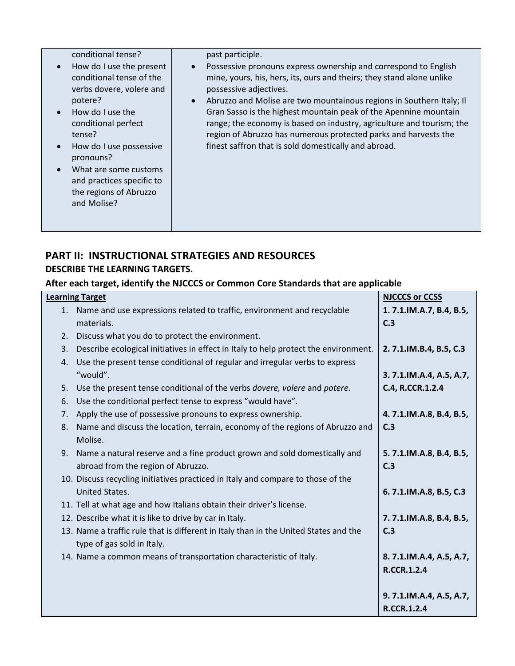| conditional tense?                                                                                                                                                                                    | past participle.                                                                                                                                                                                                                                                                                                                                                                                                                                                                                                                             |
|-------------------------------------------------------------------------------------------------------------------------------------------------------------------------------------------------------|----------------------------------------------------------------------------------------------------------------------------------------------------------------------------------------------------------------------------------------------------------------------------------------------------------------------------------------------------------------------------------------------------------------------------------------------------------------------------------------------------------------------------------------------|
| How do I use the present<br>conditional tense of the<br>verbs dovere, volere and<br>potere?<br>How do I use the<br>conditional perfect<br>tense?<br>How do I use possessive<br>$\bullet$<br>pronouns? | Possessive pronouns express ownership and correspond to English<br>$\bullet$<br>mine, yours, his, hers, its, ours and theirs; they stand alone unlike<br>possessive adjectives.<br>Abruzzo and Molise are two mountainous regions in Southern Italy; II<br>$\bullet$<br>Gran Sasso is the highest mountain peak of the Apennine mountain<br>range; the economy is based on industry, agriculture and tourism; the<br>region of Abruzzo has numerous protected parks and harvests the<br>finest saffron that is sold domestically and abroad. |
| What are some customs<br>and practices specific to<br>the regions of Abruzzo<br>and Molise?                                                                                                           |                                                                                                                                                                                                                                                                                                                                                                                                                                                                                                                                              |

## **PART II: INSTRUCTIONAL STRATEGIES AND RESOURCES DESCRIBE THE LEARNING TARGETS.**

## **After each target, identify the NJCCCS or Common Core Standards that are applicable**

|    | <b>Learning Target</b>                                                               | <b>NJCCCS or CCSS</b>   |
|----|--------------------------------------------------------------------------------------|-------------------------|
|    | 1. Name and use expressions related to traffic, environment and recyclable           | 1.7.1.IM.A.7, B.4, B.5, |
|    | materials.                                                                           | C.3                     |
| 2. | Discuss what you do to protect the environment.                                      |                         |
| 3. | Describe ecological initiatives in effect in Italy to help protect the environment.  | 2.7.1.IM.B.4, B.5, C.3  |
| 4. | Use the present tense conditional of regular and irregular verbs to express          |                         |
|    | "would".                                                                             | 3.7.1.IM.A.4, A.5, A.7, |
| 5. | Use the present tense conditional of the verbs dovere, volere and potere.            | C.4, R.CCR.1.2.4        |
| 6. | Use the conditional perfect tense to express "would have".                           |                         |
| 7. | Apply the use of possessive pronouns to express ownership.                           | 4.7.1.IM.A.8, B.4, B.5, |
| 8. | Name and discuss the location, terrain, economy of the regions of Abruzzo and        | C.3                     |
|    | Molise.                                                                              |                         |
|    | 9. Name a natural reserve and a fine product grown and sold domestically and         | 5.7.1.IM.A.8, B.4, B.5, |
|    | abroad from the region of Abruzzo.                                                   | C.3                     |
|    | 10. Discuss recycling initiatives practiced in Italy and compare to those of the     |                         |
|    | <b>United States.</b>                                                                | 6.7.1.IM.A.8, B.5, C.3  |
|    | 11. Tell at what age and how Italians obtain their driver's license.                 |                         |
|    | 12. Describe what it is like to drive by car in Italy.                               | 7.7.1.IM.A.8, B.4, B.5, |
|    | 13. Name a traffic rule that is different in Italy than in the United States and the | C.3                     |
|    | type of gas sold in Italy.                                                           |                         |
|    | 14. Name a common means of transportation characteristic of Italy.                   | 8.7.1.IM.A.4, A.5, A.7, |
|    |                                                                                      | <b>R.CCR.1.2.4</b>      |
|    |                                                                                      |                         |
|    |                                                                                      | 9.7.1.IM.A.4, A.5, A.7, |
|    |                                                                                      | <b>R.CCR.1.2.4</b>      |
|    |                                                                                      |                         |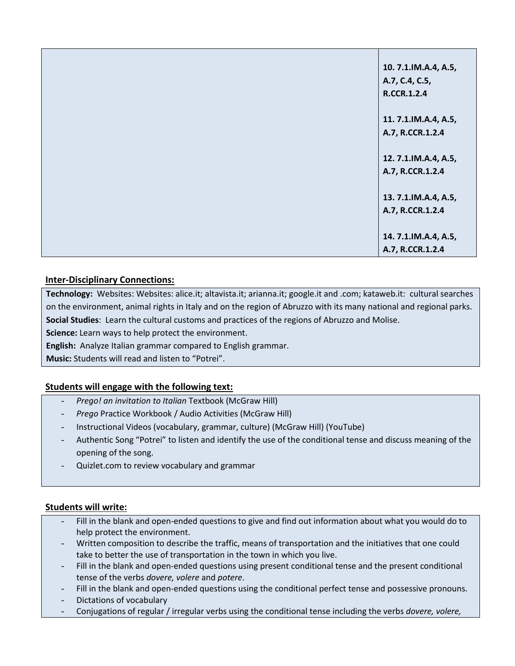| 10.7.1.IM.A.4, A.5,  |
|----------------------|
| A.7, C.4, C.5,       |
| <b>R.CCR.1.2.4</b>   |
|                      |
| 11. 7.1.IM.A.4, A.5, |
| A.7, R.CCR.1.2.4     |
|                      |
| 12. 7.1.IM.A.4, A.5, |
| A.7, R.CCR.1.2.4     |
|                      |
| 13. 7.1.IM.A.4, A.5, |
| A.7, R.CCR.1.2.4     |
|                      |
| 14.7.1.IM.A.4, A.5,  |
| A.7, R.CCR.1.2.4     |
|                      |

## **Inter-Disciplinary Connections:**

**Technology:** Websites: Websites: alice.it; altavista.it; arianna.it; google.it and .com; kataweb.it: cultural searches on the environment, animal rights in Italy and on the region of Abruzzo with its many national and regional parks. **Social Studies**: Learn the cultural customs and practices of the regions of Abruzzo and Molise. **Science:** Learn ways to help protect the environment.

**English:** Analyze Italian grammar compared to English grammar.

**Music:** Students will read and listen to "Potrei".

## **Students will engage with the following text:**

- *Prego! an invitation to Italian* Textbook (McGraw Hill)
- *Prego* Practice Workbook / Audio Activities (McGraw Hill)
- Instructional Videos (vocabulary, grammar, culture) (McGraw Hill) (YouTube)
- Authentic Song "Potrei" to listen and identify the use of the conditional tense and discuss meaning of the opening of the song.
- Quizlet.com to review vocabulary and grammar

### **Students will write:**

- Fill in the blank and open-ended questions to give and find out information about what you would do to help protect the environment.
- Written composition to describe the traffic, means of transportation and the initiatives that one could take to better the use of transportation in the town in which you live.
- Fill in the blank and open-ended questions using present conditional tense and the present conditional tense of the verbs *dovere, volere* and *potere*.
- Fill in the blank and open-ended questions using the conditional perfect tense and possessive pronouns.
- Dictations of vocabulary
- Conjugations of regular / irregular verbs using the conditional tense including the verbs *dovere, volere,*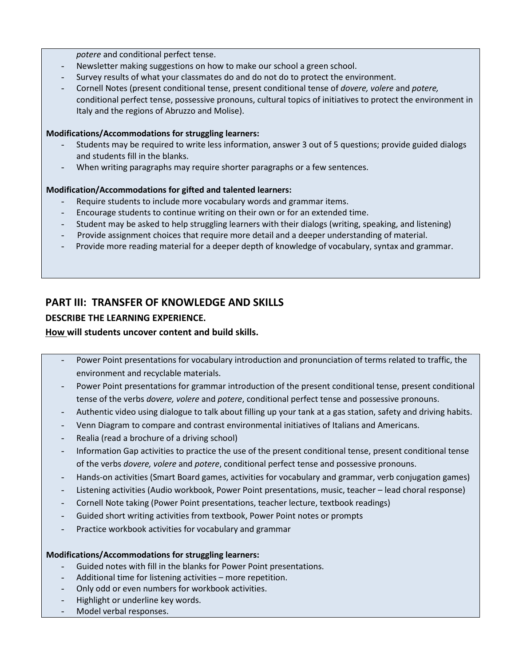#### *potere* and conditional perfect tense.

- Newsletter making suggestions on how to make our school a green school.
- Survey results of what your classmates do and do not do to protect the environment.
- Cornell Notes (present conditional tense, present conditional tense of *dovere, volere* and *potere,* conditional perfect tense, possessive pronouns, cultural topics of initiatives to protect the environment in Italy and the regions of Abruzzo and Molise).

### **Modifications/Accommodations for struggling learners:**

- Students may be required to write less information, answer 3 out of 5 questions; provide guided dialogs and students fill in the blanks.
- When writing paragraphs may require shorter paragraphs or a few sentences.

### **Modification/Accommodations for gifted and talented learners:**

- Require students to include more vocabulary words and grammar items.
- Encourage students to continue writing on their own or for an extended time.
- Student may be asked to help struggling learners with their dialogs (writing, speaking, and listening)
- Provide assignment choices that require more detail and a deeper understanding of material.
- Provide more reading material for a deeper depth of knowledge of vocabulary, syntax and grammar.

## **PART III: TRANSFER OF KNOWLEDGE AND SKILLS**

### **DESCRIBE THE LEARNING EXPERIENCE.**

### **How will students uncover content and build skills.**

- Power Point presentations for vocabulary introduction and pronunciation of terms related to traffic, the environment and recyclable materials.
- Power Point presentations for grammar introduction of the present conditional tense, present conditional tense of the verbs *dovere, volere* and *potere*, conditional perfect tense and possessive pronouns.
- Authentic video using dialogue to talk about filling up your tank at a gas station, safety and driving habits.
- Venn Diagram to compare and contrast environmental initiatives of Italians and Americans.
- Realia (read a brochure of a driving school)
- Information Gap activities to practice the use of the present conditional tense, present conditional tense of the verbs *dovere, volere* and *potere*, conditional perfect tense and possessive pronouns.
- Hands-on activities (Smart Board games, activities for vocabulary and grammar, verb conjugation games)
- Listening activities (Audio workbook, Power Point presentations, music, teacher lead choral response)
- Cornell Note taking (Power Point presentations, teacher lecture, textbook readings)
- Guided short writing activities from textbook, Power Point notes or prompts
- Practice workbook activities for vocabulary and grammar

### **Modifications/Accommodations for struggling learners:**

- Guided notes with fill in the blanks for Power Point presentations.
- Additional time for listening activities more repetition.
- Only odd or even numbers for workbook activities.
- Highlight or underline key words.
- Model verbal responses.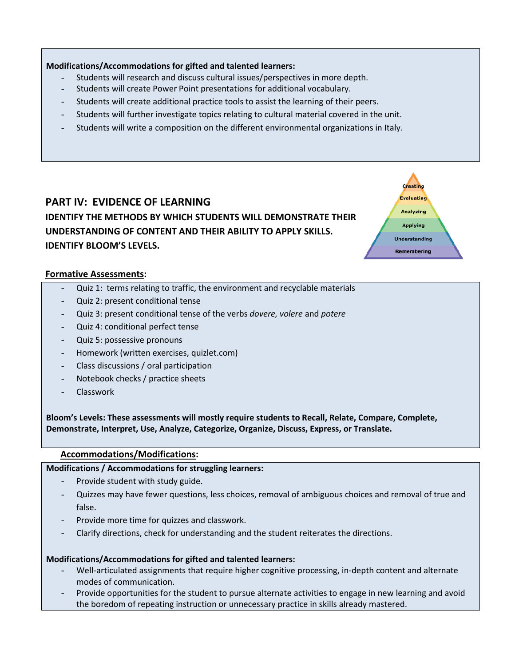### **Modifications/Accommodations for gifted and talented learners:**

- Students will research and discuss cultural issues/perspectives in more depth.
- Students will create Power Point presentations for additional vocabulary.
- Students will create additional practice tools to assist the learning of their peers.
- Students will further investigate topics relating to cultural material covered in the unit.
- Students will write a composition on the different environmental organizations in Italy.

Creatin **Evaluating** Analyzing **Applying Understanding** Remembering

## **PART IV: EVIDENCE OF LEARNING IDENTIFY THE METHODS BY WHICH STUDENTS WILL DEMONSTRATE THEIR UNDERSTANDING OF CONTENT AND THEIR ABILITY TO APPLY SKILLS. IDENTIFY BLOOM'S LEVELS.**

### **Formative Assessments:**

- Quiz 1: terms relating to traffic, the environment and recyclable materials
- Quiz 2: present conditional tense
- Quiz 3: present conditional tense of the verbs *dovere, volere* and *potere*
- Quiz 4: conditional perfect tense
- Quiz 5: possessive pronouns
- Homework (written exercises, quizlet.com)
- Class discussions / oral participation
- Notebook checks / practice sheets
- Classwork

**Bloom's Levels: These assessments will mostly require students to Recall, Relate, Compare, Complete, Demonstrate, Interpret, Use, Analyze, Categorize, Organize, Discuss, Express, or Translate.**

### **Accommodations/Modifications:**

**Modifications / Accommodations for struggling learners:**

- Provide student with study guide.
- Quizzes may have fewer questions, less choices, removal of ambiguous choices and removal of true and false.
- Provide more time for quizzes and classwork.
- Clarify directions, check for understanding and the student reiterates the directions.

### **Modifications/Accommodations for gifted and talented learners:**

- Well-articulated assignments that require higher cognitive processing, in-depth content and alternate modes of communication.
- Provide opportunities for the student to pursue alternate activities to engage in new learning and avoid the boredom of repeating instruction or unnecessary practice in skills already mastered.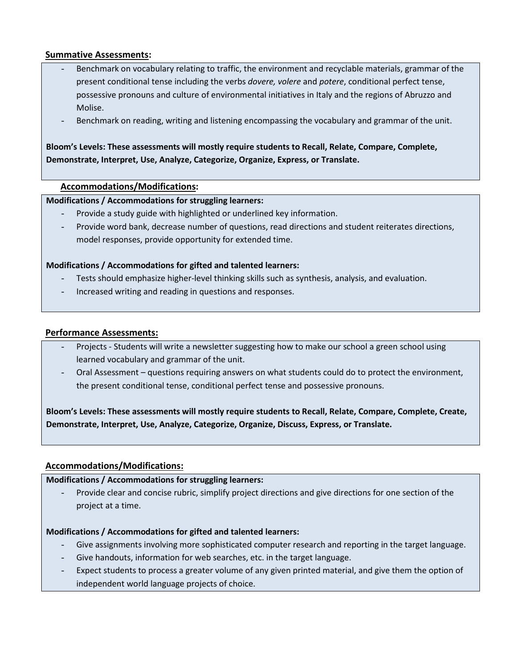### **Summative Assessments:**

- Benchmark on vocabulary relating to traffic, the environment and recyclable materials, grammar of the present conditional tense including the verbs *dovere, volere* and *potere*, conditional perfect tense, possessive pronouns and culture of environmental initiatives in Italy and the regions of Abruzzo and Molise.
- Benchmark on reading, writing and listening encompassing the vocabulary and grammar of the unit.

## **Bloom's Levels: These assessments will mostly require students to Recall, Relate, Compare, Complete, Demonstrate, Interpret, Use, Analyze, Categorize, Organize, Express, or Translate.**

### **Accommodations/Modifications:**

### **Modifications / Accommodations for struggling learners:**

- Provide a study guide with highlighted or underlined key information.
- Provide word bank, decrease number of questions, read directions and student reiterates directions, model responses, provide opportunity for extended time.

### **Modifications / Accommodations for gifted and talented learners:**

- Tests should emphasize higher-level thinking skills such as synthesis, analysis, and evaluation.
- Increased writing and reading in questions and responses.

### **Performance Assessments:**

- Projects Students will write a newsletter suggesting how to make our school a green school using learned vocabulary and grammar of the unit.
- Oral Assessment questions requiring answers on what students could do to protect the environment, the present conditional tense, conditional perfect tense and possessive pronouns.

**Bloom's Levels: These assessments will mostly require students to Recall, Relate, Compare, Complete, Create, Demonstrate, Interpret, Use, Analyze, Categorize, Organize, Discuss, Express, or Translate.**

### **Accommodations/Modifications:**

### **Modifications / Accommodations for struggling learners:**

- Provide clear and concise rubric, simplify project directions and give directions for one section of the project at a time.

### **Modifications / Accommodations for gifted and talented learners:**

- Give assignments involving more sophisticated computer research and reporting in the target language.
- Give handouts, information for web searches, etc. in the target language.
- Expect students to process a greater volume of any given printed material, and give them the option of independent world language projects of choice.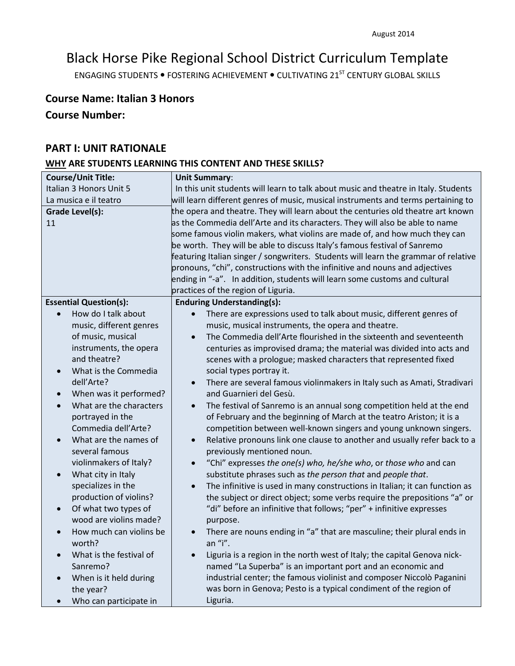# Black Horse Pike Regional School District Curriculum Template

ENGAGING STUDENTS . FOSTERING ACHIEVEMENT . CULTIVATING 21<sup>ST</sup> CENTURY GLOBAL SKILLS

## **Course Name: Italian 3 Honors**

## **Course Number:**

## **PART I: UNIT RATIONALE**

## **WHY ARE STUDENTS LEARNING THIS CONTENT AND THESE SKILLS?**

| <b>Course/Unit Title:</b>            | <b>Unit Summary:</b>                                                                     |
|--------------------------------------|------------------------------------------------------------------------------------------|
| Italian 3 Honors Unit 5              | In this unit students will learn to talk about music and theatre in Italy. Students      |
| La musica e il teatro                | will learn different genres of music, musical instruments and terms pertaining to        |
| Grade Level(s):                      | the opera and theatre. They will learn about the centuries old theatre art known         |
| 11                                   | as the Commedia dell'Arte and its characters. They will also be able to name             |
|                                      | some famous violin makers, what violins are made of, and how much they can               |
|                                      | be worth. They will be able to discuss Italy's famous festival of Sanremo                |
|                                      | featuring Italian singer / songwriters. Students will learn the grammar of relative      |
|                                      | pronouns, "chi", constructions with the infinitive and nouns and adjectives              |
|                                      | ending in "-a". In addition, students will learn some customs and cultural               |
|                                      | practices of the region of Liguria.                                                      |
| <b>Essential Question(s):</b>        | <b>Enduring Understanding(s):</b>                                                        |
| How do I talk about                  | There are expressions used to talk about music, different genres of<br>$\bullet$         |
| music, different genres              | music, musical instruments, the opera and theatre.                                       |
| of music, musical                    | The Commedia dell'Arte flourished in the sixteenth and seventeenth<br>$\bullet$          |
| instruments, the opera               | centuries as improvised drama; the material was divided into acts and                    |
| and theatre?                         | scenes with a prologue; masked characters that represented fixed                         |
| What is the Commedia<br>$\bullet$    | social types portray it.                                                                 |
| dell'Arte?                           | There are several famous violinmakers in Italy such as Amati, Stradivari<br>$\bullet$    |
| When was it performed?               | and Guarnieri del Gesù.                                                                  |
| What are the characters<br>$\bullet$ | The festival of Sanremo is an annual song competition held at the end<br>$\bullet$       |
| portrayed in the                     | of February and the beginning of March at the teatro Ariston; it is a                    |
| Commedia dell'Arte?                  | competition between well-known singers and young unknown singers.                        |
| What are the names of<br>$\bullet$   | Relative pronouns link one clause to another and usually refer back to a<br>$\bullet$    |
| several famous                       | previously mentioned noun.                                                               |
| violinmakers of Italy?               | "Chi" expresses the one(s) who, he/she who, or those who and can<br>$\bullet$            |
| What city in Italy<br>$\bullet$      | substitute phrases such as the person that and people that.                              |
| specializes in the                   | The infinitive is used in many constructions in Italian; it can function as<br>$\bullet$ |
| production of violins?               | the subject or direct object; some verbs require the prepositions "a" or                 |
| Of what two types of<br>$\bullet$    | "di" before an infinitive that follows; "per" + infinitive expresses                     |
| wood are violins made?               | purpose.                                                                                 |
| How much can violins be              | There are nouns ending in "a" that are masculine; their plural ends in                   |
| worth?                               | an "i".                                                                                  |
| What is the festival of              | Liguria is a region in the north west of Italy; the capital Genova nick-<br>$\bullet$    |
| Sanremo?                             | named "La Superba" is an important port and an economic and                              |
| When is it held during               | industrial center; the famous violinist and composer Niccolò Paganini                    |
| the year?                            | was born in Genova; Pesto is a typical condiment of the region of                        |
| Who can participate in               | Liguria.                                                                                 |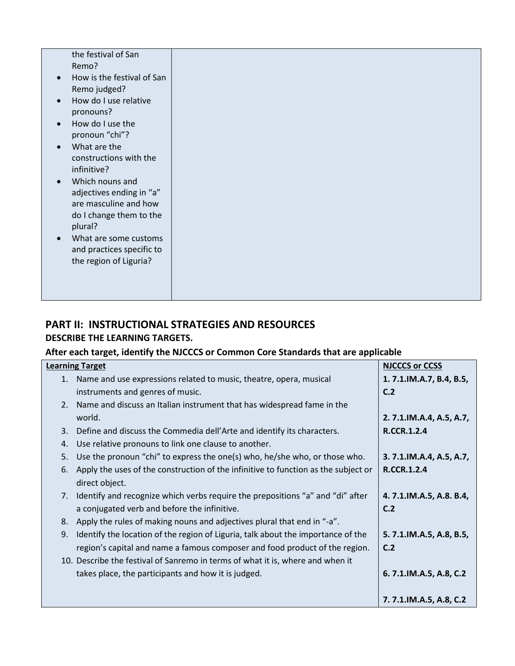| the festival of San        |
|----------------------------|
| Remo?                      |
|                            |
| How is the festival of San |
| Remo judged?               |
| How do I use relative      |
| pronouns?                  |
| How do I use the           |
|                            |
| pronoun "chi"?             |
| What are the               |
| constructions with the     |
| infinitive?                |
| Which nouns and            |
| adjectives ending in "a"   |
|                            |
| are masculine and how      |
| do I change them to the    |
| plural?                    |
| What are some customs      |
| and practices specific to  |
|                            |
| the region of Liguria?     |
|                            |
|                            |
|                            |
|                            |

# **PART II: INSTRUCTIONAL STRATEGIES AND RESOURCES**

## **DESCRIBE THE LEARNING TARGETS.**

## **After each target, identify the NJCCCS or Common Core Standards that are applicable**

|    | <b>Learning Target</b>                                                             | <b>NJCCCS or CCSS</b>   |
|----|------------------------------------------------------------------------------------|-------------------------|
| 1. | Name and use expressions related to music, theatre, opera, musical                 | 1.7.1.IM.A.7, B.4, B.5, |
|    | instruments and genres of music.                                                   | C.2                     |
| 2. | Name and discuss an Italian instrument that has widespread fame in the             |                         |
|    | world.                                                                             | 2.7.1.IM.A.4, A.5, A.7, |
| 3. | Define and discuss the Commedia dell'Arte and identify its characters.             | <b>R.CCR.1.2.4</b>      |
| 4. | Use relative pronouns to link one clause to another.                               |                         |
| 5. | Use the pronoun "chi" to express the one(s) who, he/she who, or those who.         | 3.7.1.IM.A.4, A.5, A.7, |
| 6. | Apply the uses of the construction of the infinitive to function as the subject or | <b>R.CCR.1.2.4</b>      |
|    | direct object.                                                                     |                         |
| 7. | Identify and recognize which verbs require the prepositions "a" and "di" after     | 4.7.1.IM.A.5, A.8. B.4, |
|    | a conjugated verb and before the infinitive.                                       | C.2                     |
| 8. | Apply the rules of making nouns and adjectives plural that end in "-a".            |                         |
| 9. | Identify the location of the region of Liguria, talk about the importance of the   | 5.7.1.IM.A.5, A.8, B.5, |
|    | region's capital and name a famous composer and food product of the region.        | C.2                     |
|    | 10. Describe the festival of Sanremo in terms of what it is, where and when it     |                         |
|    | takes place, the participants and how it is judged.                                | 6.7.1.IM.A.5, A.8, C.2  |
|    |                                                                                    |                         |
|    |                                                                                    | 7.7.1.IM.A.5, A.8, C.2  |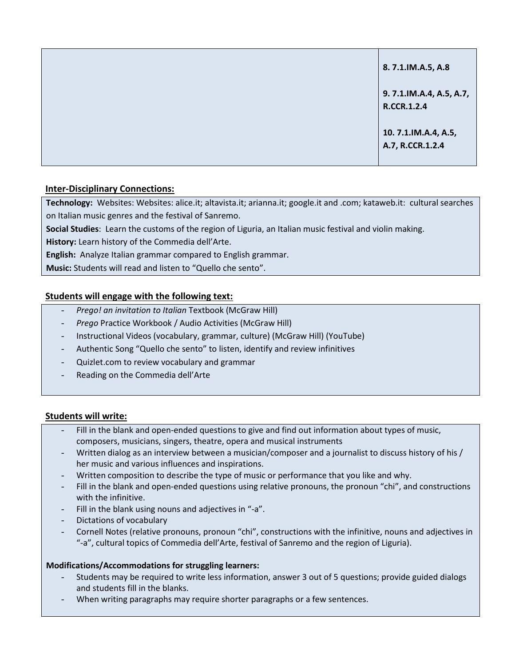| 8.7.1.IM.A.5, A.8                       |
|-----------------------------------------|
| 9.7.1.IM.A.4, A.5, A.7,<br>R.CCR.1.2.4  |
| 10.7.1.IM.A.4, A.5,<br>A.7, R.CCR.1.2.4 |

## **Inter-Disciplinary Connections:**

Technology: Websites: Websites: alice.it; altavista.it; arianna.it; google.it and .com; kataweb.it: cultural searches on Italian music genres and the festival of Sanremo.

**Social Studies**: Learn the customs of the region of Liguria, an Italian music festival and violin making.

**History:** Learn history of the Commedia dell'Arte.

**English:** Analyze Italian grammar compared to English grammar.

**Music:** Students will read and listen to "Quello che sento".

### **Students will engage with the following text:**

- *Prego! an invitation to Italian* Textbook (McGraw Hill)
- *Prego* Practice Workbook / Audio Activities (McGraw Hill)
- Instructional Videos (vocabulary, grammar, culture) (McGraw Hill) (YouTube)
- Authentic Song "Quello che sento" to listen, identify and review infinitives
- Quizlet.com to review vocabulary and grammar
- Reading on the Commedia dell'Arte

### **Students will write:**

- Fill in the blank and open-ended questions to give and find out information about types of music, composers, musicians, singers, theatre, opera and musical instruments
- Written dialog as an interview between a musician/composer and a journalist to discuss history of his / her music and various influences and inspirations.
- Written composition to describe the type of music or performance that you like and why.
- Fill in the blank and open-ended questions using relative pronouns, the pronoun "chi", and constructions with the infinitive.
- Fill in the blank using nouns and adjectives in "-a".
- Dictations of vocabulary
- Cornell Notes (relative pronouns, pronoun "chi", constructions with the infinitive, nouns and adjectives in "-a", cultural topics of Commedia dell'Arte, festival of Sanremo and the region of Liguria).

### **Modifications/Accommodations for struggling learners:**

- Students may be required to write less information, answer 3 out of 5 questions; provide guided dialogs and students fill in the blanks.
- When writing paragraphs may require shorter paragraphs or a few sentences.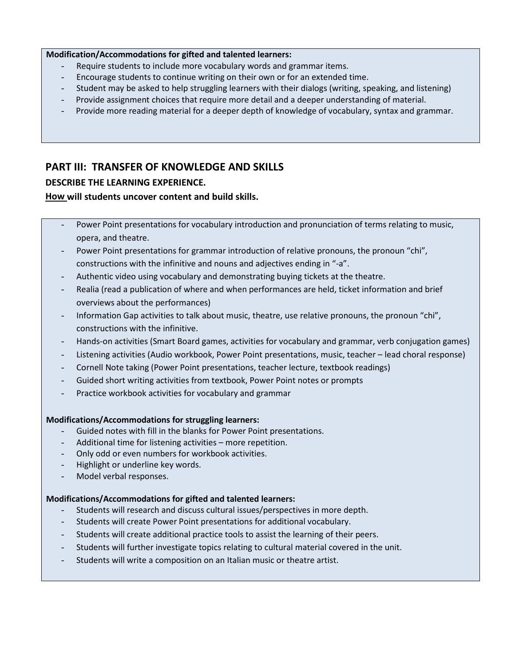#### **Modification/Accommodations for gifted and talented learners:**

- Require students to include more vocabulary words and grammar items.
- Encourage students to continue writing on their own or for an extended time.
- Student may be asked to help struggling learners with their dialogs (writing, speaking, and listening)
- Provide assignment choices that require more detail and a deeper understanding of material.
- Provide more reading material for a deeper depth of knowledge of vocabulary, syntax and grammar.

## **PART III: TRANSFER OF KNOWLEDGE AND SKILLS**

### **DESCRIBE THE LEARNING EXPERIENCE.**

### **How will students uncover content and build skills.**

- Power Point presentations for vocabulary introduction and pronunciation of terms relating to music, opera, and theatre.
- Power Point presentations for grammar introduction of relative pronouns, the pronoun "chi", constructions with the infinitive and nouns and adjectives ending in "-a".
- Authentic video using vocabulary and demonstrating buying tickets at the theatre.
- Realia (read a publication of where and when performances are held, ticket information and brief overviews about the performances)
- Information Gap activities to talk about music, theatre, use relative pronouns, the pronoun "chi", constructions with the infinitive.
- Hands-on activities (Smart Board games, activities for vocabulary and grammar, verb conjugation games)
- Listening activities (Audio workbook, Power Point presentations, music, teacher lead choral response)
- Cornell Note taking (Power Point presentations, teacher lecture, textbook readings)
- Guided short writing activities from textbook, Power Point notes or prompts
- Practice workbook activities for vocabulary and grammar

### **Modifications/Accommodations for struggling learners:**

- Guided notes with fill in the blanks for Power Point presentations.
- Additional time for listening activities more repetition.
- Only odd or even numbers for workbook activities.
- Highlight or underline key words.
- Model verbal responses.

### **Modifications/Accommodations for gifted and talented learners:**

- Students will research and discuss cultural issues/perspectives in more depth.
- Students will create Power Point presentations for additional vocabulary.
- Students will create additional practice tools to assist the learning of their peers.
- Students will further investigate topics relating to cultural material covered in the unit.
- Students will write a composition on an Italian music or theatre artist.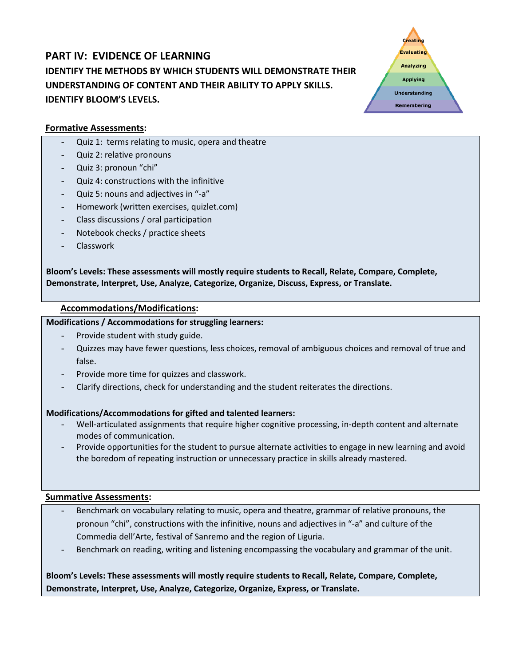## **PART IV: EVIDENCE OF LEARNING IDENTIFY THE METHODS BY WHICH STUDENTS WILL DEMONSTRATE THEIR UNDERSTANDING OF CONTENT AND THEIR ABILITY TO APPLY SKILLS. IDENTIFY BLOOM'S LEVELS.**



### **Formative Assessments:**

- Quiz 1: terms relating to music, opera and theatre
- Quiz 2: relative pronouns
- Quiz 3: pronoun "chi"
- Quiz 4: constructions with the infinitive
- Quiz 5: nouns and adjectives in "-a"
- Homework (written exercises, quizlet.com)
- Class discussions / oral participation
- Notebook checks / practice sheets
- Classwork

**Bloom's Levels: These assessments will mostly require students to Recall, Relate, Compare, Complete, Demonstrate, Interpret, Use, Analyze, Categorize, Organize, Discuss, Express, or Translate.**

### **Accommodations/Modifications:**

### **Modifications / Accommodations for struggling learners:**

- Provide student with study guide.
- Quizzes may have fewer questions, less choices, removal of ambiguous choices and removal of true and false.
- Provide more time for quizzes and classwork.
- Clarify directions, check for understanding and the student reiterates the directions.

### **Modifications/Accommodations for gifted and talented learners:**

- Well-articulated assignments that require higher cognitive processing, in-depth content and alternate modes of communication.
- Provide opportunities for the student to pursue alternate activities to engage in new learning and avoid the boredom of repeating instruction or unnecessary practice in skills already mastered.

### **Summative Assessments:**

- Benchmark on vocabulary relating to music, opera and theatre, grammar of relative pronouns, the pronoun "chi", constructions with the infinitive, nouns and adjectives in "-a" and culture of the Commedia dell'Arte, festival of Sanremo and the region of Liguria.
- Benchmark on reading, writing and listening encompassing the vocabulary and grammar of the unit.

**Bloom's Levels: These assessments will mostly require students to Recall, Relate, Compare, Complete, Demonstrate, Interpret, Use, Analyze, Categorize, Organize, Express, or Translate.**